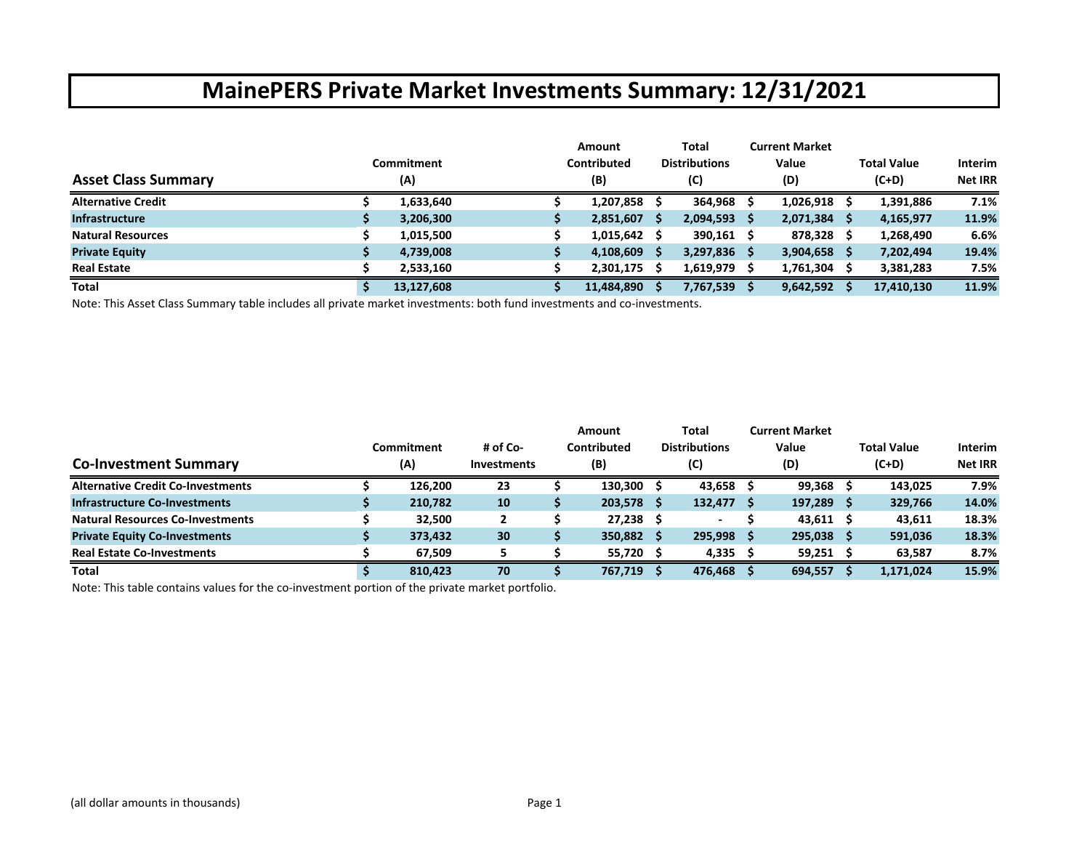|                            | Commitment | <b>Amount</b><br>Contributed |    | Total<br><b>Distributions</b> |     | <b>Current Market</b><br>Value |     | <b>Total Value</b> | <b>Interim</b> |
|----------------------------|------------|------------------------------|----|-------------------------------|-----|--------------------------------|-----|--------------------|----------------|
| <b>Asset Class Summary</b> | (A)        | (B)                          |    | (C)                           |     | (D)                            |     | $(C+D)$            | <b>Net IRR</b> |
| <b>Alternative Credit</b>  | 1,633,640  | 1,207,858                    |    | 364,968                       |     | 1,026,918                      |     | 1,391,886          | 7.1%           |
| <b>Infrastructure</b>      | 3,206,300  | 2,851,607                    | -S | 2,094,593                     | - S | 2,071,384                      | - S | 4,165,977          | 11.9%          |
| <b>Natural Resources</b>   | 1,015,500  | 1,015,642                    |    | $390,161$ \$                  |     | 878,328                        |     | 1,268,490          | 6.6%           |
| <b>Private Equity</b>      | 4,739,008  | 4,108,609                    | s  | $3,297,836$ \$                |     | 3,904,658                      | - S | 7,202,494          | 19.4%          |
| <b>Real Estate</b>         | 2,533,160  | 2,301,175                    |    | 1,619,979                     |     | 1,761,304                      |     | 3,381,283          | 7.5%           |
| <b>Total</b>               | 13,127,608 | 11,484,890                   |    | 7,767,539                     |     | 9,642,592                      |     | 17,410,130         | 11.9%          |

Note: This Asset Class Summary table includes all private market investments: both fund investments and co‐investments.

|                                          |            |                    | Amount      | Total                | <b>Current Market</b> |                    |                |
|------------------------------------------|------------|--------------------|-------------|----------------------|-----------------------|--------------------|----------------|
|                                          | Commitment | # of Co-           | Contributed | <b>Distributions</b> | Value                 | <b>Total Value</b> | <b>Interim</b> |
| <b>Co-Investment Summary</b>             | (A)        | <b>Investments</b> | (B)         | (C)                  | (D)                   | $(C+D)$            | <b>Net IRR</b> |
| <b>Alternative Credit Co-Investments</b> | 126,200    | 23                 | 130,300     | $43,658$ \$          | $99,368$ \$           | 143.025            | 7.9%           |
| <b>Infrastructure Co-Investments</b>     | 210,782    | 10                 | 203,578     | $132,477$ \$         | 197,289 \$            | 329,766            | 14.0%          |
| <b>Natural Resources Co-Investments</b>  | 32,500     |                    | 27,238      |                      | $43,611$ \$           | 43,611             | 18.3%          |
| <b>Private Equity Co-Investments</b>     | 373,432    | 30                 | 350,882     | 295,998 \$           | 295,038 \$            | 591,036            | 18.3%          |
| <b>Real Estate Co-Investments</b>        | 67.509     |                    | 55,720      | $4,335$ \$           | 59,251                | 63,587             | 8.7%           |
| <b>Total</b>                             | 810,423    | 70                 | 767,719     | 476,468 \$           | 694,557               | 1,171,024          | 15.9%          |

Note: This table contains values for the co‐investment portion of the private market portfolio.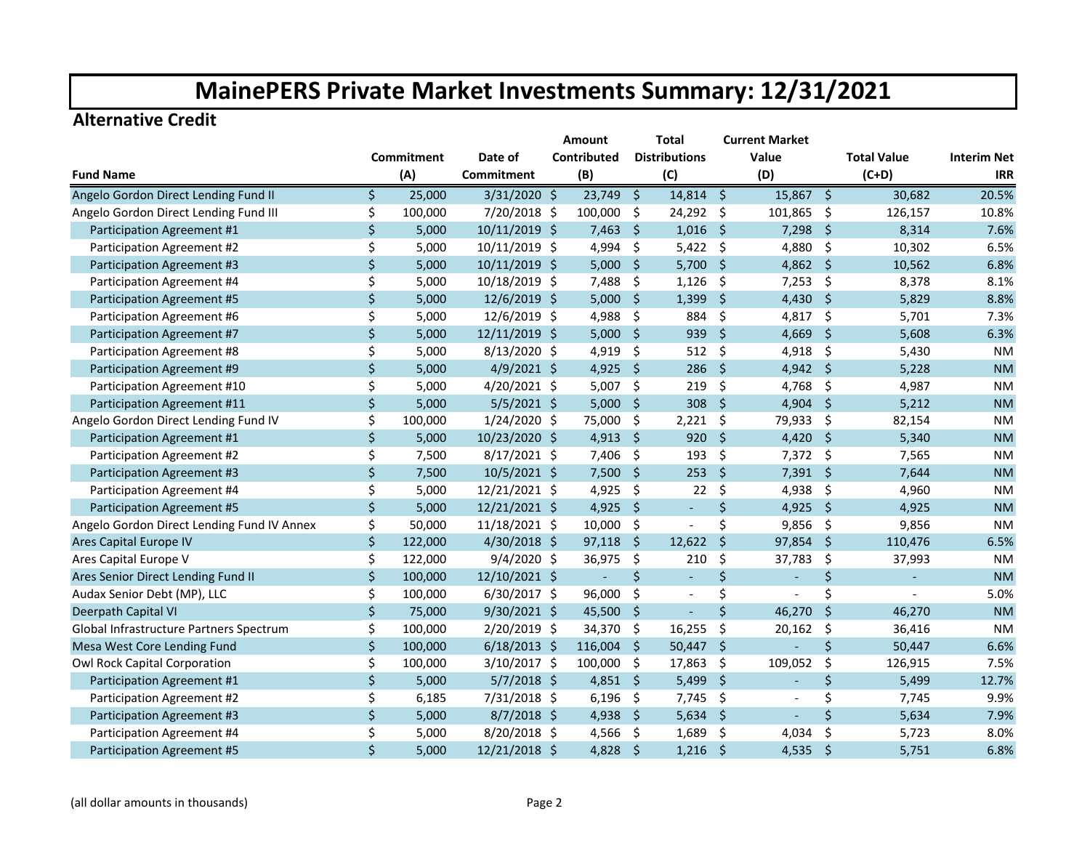#### **Alternative Credit**

|                                            |    |                   |                | Amount         |                     | Total                    |                     | <b>Current Market</b>    |                     |                    |                    |
|--------------------------------------------|----|-------------------|----------------|----------------|---------------------|--------------------------|---------------------|--------------------------|---------------------|--------------------|--------------------|
|                                            |    | <b>Commitment</b> | Date of        | Contributed    |                     | <b>Distributions</b>     |                     | Value                    |                     | <b>Total Value</b> | <b>Interim Net</b> |
| <b>Fund Name</b>                           |    | (A)               | Commitment     | (B)            |                     | (C)                      |                     | (D)                      |                     | $(C+D)$            | <b>IRR</b>         |
| Angelo Gordon Direct Lending Fund II       | Ś. | 25,000            | $3/31/2020$ \$ | $23,749$ \$    |                     | 14,814 \$                |                     | $15,867$ \$              |                     | 30,682             | 20.5%              |
| Angelo Gordon Direct Lending Fund III      | \$ | 100,000           | 7/20/2018 \$   | 100,000        | $\zeta$             | 24,292                   | - \$                | 101,865 \$               |                     | 126,157            | 10.8%              |
| Participation Agreement #1                 | \$ | 5,000             | 10/11/2019 \$  | 7,463          | Ŝ.                  | 1,016                    | - \$                | 7,298                    | - \$                | 8,314              | 7.6%               |
| Participation Agreement #2                 | \$ | 5,000             | 10/11/2019 \$  | 4,994          | \$                  | $5,422$ \$               |                     | 4,880 \$                 |                     | 10,302             | 6.5%               |
| Participation Agreement #3                 | Ś. | 5,000             | 10/11/2019 \$  | $5,000$ \$     |                     | $5,700$ \$               |                     | 4,862 \$                 |                     | 10,562             | 6.8%               |
| Participation Agreement #4                 | \$ | 5,000             | 10/18/2019 \$  | 7,488          | \$.                 | 1,126                    | -\$                 | $7,253$ \$               |                     | 8,378              | 8.1%               |
| Participation Agreement #5                 | \$ | 5,000             | 12/6/2019 \$   | $5,000$ \$     |                     | 1,399                    | $\ddot{\bm{\zeta}}$ | 4,430 \$                 |                     | 5,829              | 8.8%               |
| Participation Agreement #6                 | \$ | 5,000             | 12/6/2019 \$   | 4,988          | $\ddot{\varsigma}$  | 884                      | \$                  | 4,817                    | $\ddot{\varsigma}$  | 5,701              | 7.3%               |
| Participation Agreement #7                 | \$ | 5,000             | 12/11/2019 \$  | 5,000          | $\ddot{\mathsf{S}}$ | 939                      | $\mathsf{S}$        | 4,669                    | $\ddot{\mathsf{S}}$ | 5,608              | 6.3%               |
| Participation Agreement #8                 | \$ | 5,000             | 8/13/2020 \$   | 4,919          | \$                  | 512                      | -\$                 | 4,918 \$                 |                     | 5,430              | <b>NM</b>          |
| Participation Agreement #9                 | \$ | 5,000             | $4/9/2021$ \$  | 4,925          | - \$                | 286                      | -\$                 | 4,942 \$                 |                     | 5,228              | <b>NM</b>          |
| Participation Agreement #10                | \$ | 5,000             | 4/20/2021 \$   | 5,007          | \$                  | 219                      | -\$                 | 4,768 \$                 |                     | 4,987              | <b>NM</b>          |
| Participation Agreement #11                | \$ | 5,000             | $5/5/2021$ \$  | $5,000$ \$     |                     | 308                      | -Ś                  | $4,904$ \$               |                     | 5,212              | <b>NM</b>          |
| Angelo Gordon Direct Lending Fund IV       | \$ | 100,000           | 1/24/2020 \$   | 75,000         | \$                  | 2,221                    | -\$                 | 79,933                   | -\$                 | 82,154             | <b>NM</b>          |
| Participation Agreement #1                 | \$ | 5,000             | 10/23/2020 \$  | 4,913          | $\ddot{\varsigma}$  | 920                      | -Ś                  | 4,420                    | -\$                 | 5,340              | <b>NM</b>          |
| Participation Agreement #2                 | \$ | 7,500             | $8/17/2021$ \$ | 7,406          | -\$                 | 193                      | Ŝ.                  | $7,372$ \$               |                     | 7,565              | <b>NM</b>          |
| Participation Agreement #3                 | \$ | 7,500             | 10/5/2021 \$   | $7,500$ \$     |                     | 253                      | Ŝ.                  | $7,391$ \$               |                     | 7,644              | <b>NM</b>          |
| Participation Agreement #4                 | \$ | 5,000             | 12/21/2021 \$  | 4,925          | - \$                | 22                       | \$                  | 4,938                    | - \$                | 4,960              | <b>NM</b>          |
| Participation Agreement #5                 | \$ | 5,000             | 12/21/2021 \$  | 4,925          | $\ddot{\mathsf{s}}$ | $\overline{\phantom{a}}$ | \$                  | 4,925 \$                 |                     | 4,925              | <b>NM</b>          |
| Angelo Gordon Direct Lending Fund IV Annex | \$ | 50,000            | 11/18/2021 \$  | 10,000         | \$                  | $\overline{\phantom{a}}$ | \$                  | $9,856$ \$               |                     | 9,856              | <b>NM</b>          |
| <b>Ares Capital Europe IV</b>              | \$ | 122,000           | 4/30/2018 \$   | 97,118         | $\ddot{\mathsf{s}}$ | 12,622                   | Ŝ.                  | 97,854                   | -Ś                  | 110,476            | 6.5%               |
| Ares Capital Europe V                      | \$ | 122,000           | $9/4/2020$ \$  | 36,975         | - \$                | 210                      | \$                  | 37,783                   | \$                  | 37,993             | <b>NM</b>          |
| Ares Senior Direct Lending Fund II         | \$ | 100,000           | 12/10/2021 \$  | $\blacksquare$ | $\zeta$             | $\blacksquare$           | \$                  | $\mathbb{Z}^2$           | \$                  | $\blacksquare$     | <b>NM</b>          |
| Audax Senior Debt (MP), LLC                | \$ | 100,000           | $6/30/2017$ \$ | 96,000         | \$                  | $\overline{\phantom{a}}$ | \$                  |                          | \$                  |                    | 5.0%               |
| Deerpath Capital VI                        | \$ | 75,000            | $9/30/2021$ \$ | $45,500$ \$    |                     | $\blacksquare$           | \$                  | 46,270                   | \$                  | 46,270             | <b>NM</b>          |
| Global Infrastructure Partners Spectrum    | \$ | 100,000           | 2/20/2019 \$   | 34,370         | \$                  | 16,255                   | -\$                 | 20,162                   | \$                  | 36,416             | <b>NM</b>          |
| Mesa West Core Lending Fund                | \$ | 100,000           | $6/18/2013$ \$ | 116,004        | Ŝ.                  | 50,447                   | -Ś                  |                          | \$                  | 50,447             | 6.6%               |
| Owl Rock Capital Corporation               | Ś. | 100,000           | 3/10/2017 \$   | 100,000 \$     |                     | 17,863                   | -\$                 | 109,052                  | \$                  | 126,915            | 7.5%               |
| Participation Agreement #1                 | \$ | 5,000             | $5/7/2018$ \$  | 4,851 \$       |                     | 5,499                    | -\$                 | $\blacksquare$           | \$                  | 5,499              | 12.7%              |
| Participation Agreement #2                 | \$ | 6,185             | 7/31/2018 \$   | 6,196          | \$                  | 7,745                    | -\$                 | $\overline{\phantom{a}}$ | \$                  | 7,745              | 9.9%               |
| Participation Agreement #3                 | \$ | 5,000             | $8/7/2018$ \$  | 4,938          | - \$                | 5,634                    | -\$                 |                          | \$                  | 5,634              | 7.9%               |
| Participation Agreement #4                 | \$ | 5,000             | 8/20/2018 \$   | 4,566          | \$                  | 1,689                    | -\$                 | 4,034                    | \$                  | 5,723              | 8.0%               |
| Participation Agreement #5                 | \$ | 5,000             | 12/21/2018 \$  | 4,828          | $\ddot{\varsigma}$  | 1,216                    | $\ddot{\mathsf{S}}$ | 4,535                    | $\zeta$             | 5,751              | 6.8%               |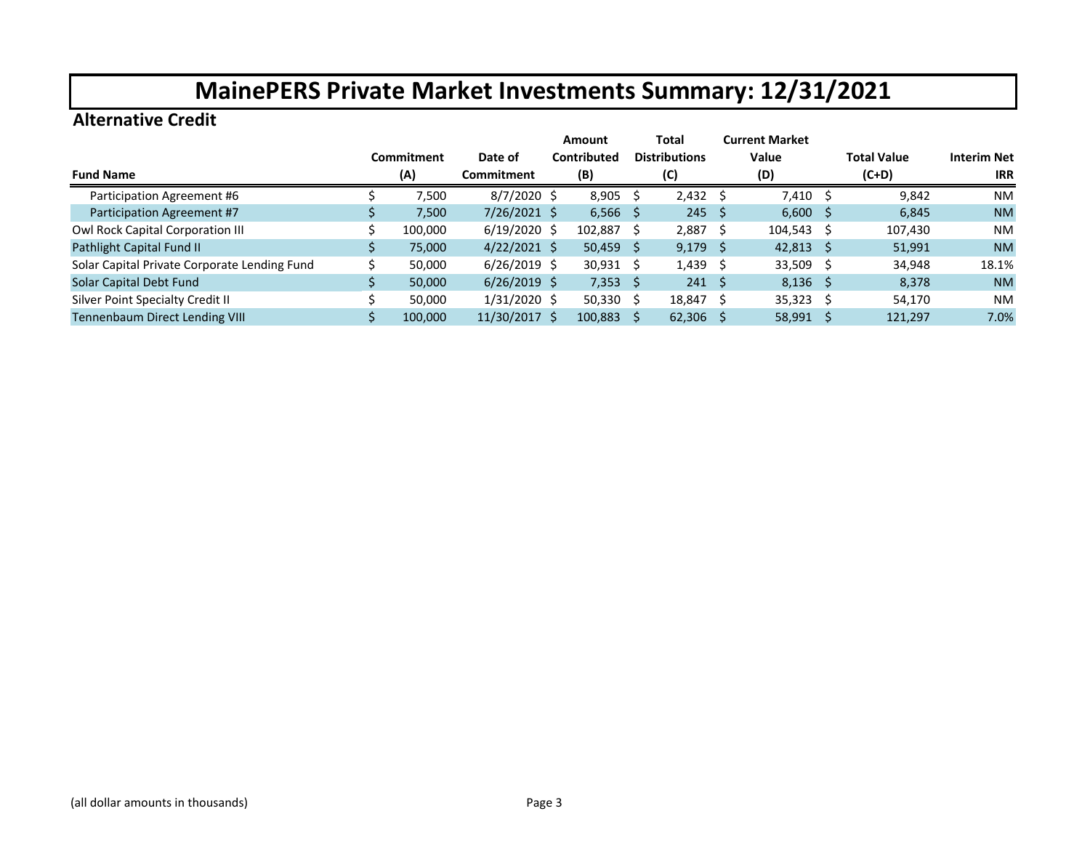#### **Alternative Credit**

|                                              |            |                | Amount             | Total                |     | <b>Current Market</b> |                    |                    |
|----------------------------------------------|------------|----------------|--------------------|----------------------|-----|-----------------------|--------------------|--------------------|
|                                              | Commitment | Date of        | <b>Contributed</b> | <b>Distributions</b> |     | Value                 | <b>Total Value</b> | <b>Interim Net</b> |
| <b>Fund Name</b>                             | (A)        | Commitment     | (B)                | (C)                  |     | (D)                   | $(C+D)$            | <b>IRR</b>         |
| Participation Agreement #6                   | 7,500      | $8/7/2020$ \$  | $8,905$ \$         | $2,432 \quad$ \$     |     | 7,410 \$              | 9,842              | <b>NM</b>          |
| Participation Agreement #7                   | 7,500      | $7/26/2021$ \$ | $6,566$ \$         | $245 \quad 5$        |     | $6,600$ \$            | 6,845              | <b>NM</b>          |
| Owl Rock Capital Corporation III             | 100,000    | $6/19/2020$ \$ | 102,887 \$         | $2,887$ \$           |     | $104,543 \quad$ \$    | 107,430            | <b>NM</b>          |
| Pathlight Capital Fund II                    | 75,000     | $4/22/2021$ \$ | $50,459$ \$        | $9,179$ \$           |     | $42,813$ \$           | 51,991             | <b>NM</b>          |
| Solar Capital Private Corporate Lending Fund | 50,000     | $6/26/2019$ \$ | $30,931 \quad $$   | $1,439$ \$           |     | $33,509$ \$           | 34,948             | 18.1%              |
| Solar Capital Debt Fund                      | 50,000     | $6/26/2019$ \$ | $7,353$ \$         | $241 \quad$ \$       |     | $8,136$ \$            | 8,378              | <b>NM</b>          |
| Silver Point Specialty Credit II             | 50.000     | 1/31/2020 \$   | $50,330$ \$        | 18,847               | - S | $35,323$ \$           | 54,170             | <b>NM</b>          |
| Tennenbaum Direct Lending VIII               | 100,000    | 11/30/2017 \$  | 100,883 \$         | $62,306$ \$          |     | $58,991$ \$           | 121,297            | 7.0%               |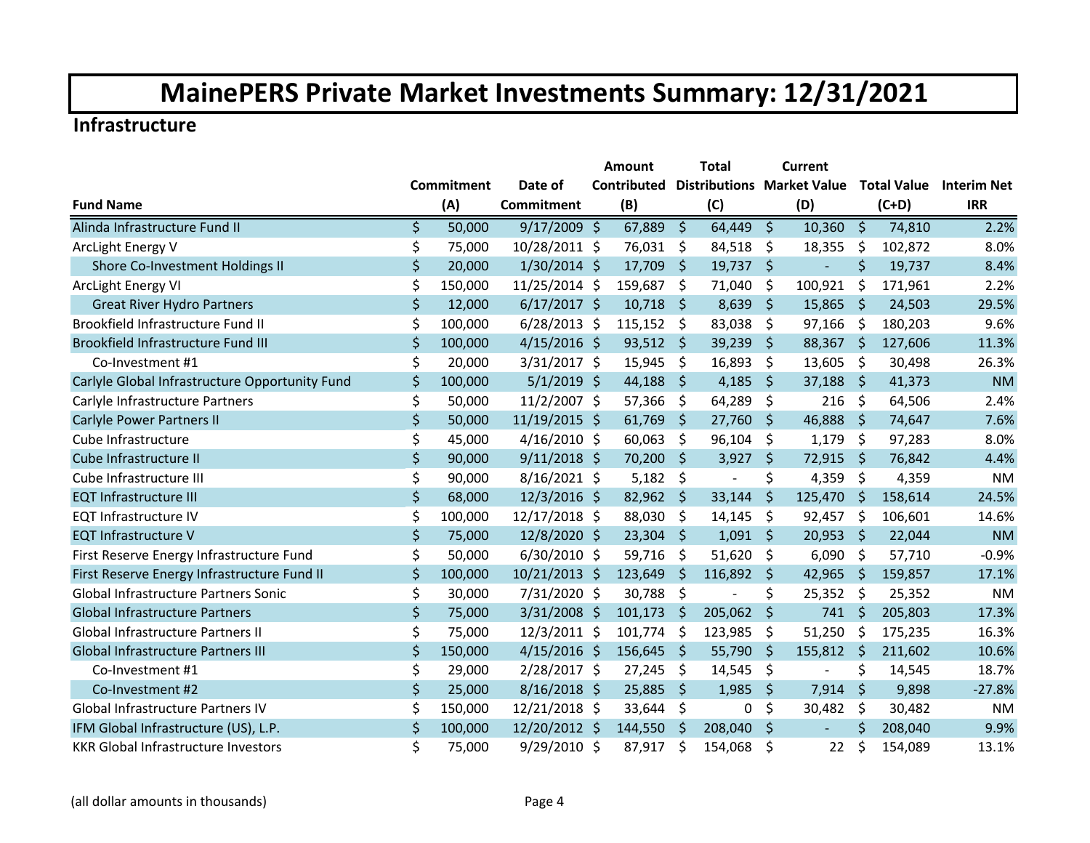#### **Infrastructure**

|                                                |                   |                | Amount      |              | <b>Total</b>                      |             | <b>Current</b>           |                     |                    |                    |
|------------------------------------------------|-------------------|----------------|-------------|--------------|-----------------------------------|-------------|--------------------------|---------------------|--------------------|--------------------|
|                                                | <b>Commitment</b> | Date of        | Contributed |              | <b>Distributions Market Value</b> |             |                          |                     | <b>Total Value</b> | <b>Interim Net</b> |
| <b>Fund Name</b>                               | (A)               | Commitment     | (B)         |              | (C)                               |             | (D)                      |                     | $(C+D)$            | <b>IRR</b>         |
| Alinda Infrastructure Fund II                  | \$<br>50,000      | $9/17/2009$ \$ | 67,889      | $\zeta$      | 64,449                            | $\zeta$     | 10,360                   | $\zeta$             | 74,810             | 2.2%               |
| ArcLight Energy V                              | \$<br>75,000      | 10/28/2011 \$  | 76,031      | \$           | 84,518                            | \$          | 18,355                   | \$                  | 102,872            | 8.0%               |
| Shore Co-Investment Holdings II                | \$<br>20,000      | 1/30/2014 \$   | 17,709      | S.           | 19,737                            | $\zeta$     |                          | $\zeta$             | 19,737             | 8.4%               |
| ArcLight Energy VI                             | \$<br>150,000     | 11/25/2014 \$  | 159,687     | \$           | 71,040                            | \$          | 100,921                  | \$                  | 171,961            | 2.2%               |
| <b>Great River Hydro Partners</b>              | \$<br>12,000      | $6/17/2017$ \$ | 10,718      | \$           | 8,639                             | $\zeta$     | 15,865                   | $\zeta$             | 24,503             | 29.5%              |
| Brookfield Infrastructure Fund II              | \$<br>100,000     | $6/28/2013$ \$ | 115,152     | \$           | 83,038                            | \$          | 97,166                   | \$                  | 180,203            | 9.6%               |
| Brookfield Infrastructure Fund III             | \$<br>100,000     | $4/15/2016$ \$ | $93,512$ \$ |              | 39,239                            | \$          | 88,367 \$                |                     | 127,606            | 11.3%              |
| Co-Investment #1                               | \$<br>20,000      | 3/31/2017 \$   | 15,945      | \$           | 16,893                            | \$          | 13,605                   | \$                  | 30,498             | 26.3%              |
| Carlyle Global Infrastructure Opportunity Fund | \$<br>100,000     | $5/1/2019$ \$  | 44,188      | \$           | 4,185                             | $\varsigma$ | 37,188                   | -\$                 | 41,373             | <b>NM</b>          |
| Carlyle Infrastructure Partners                | \$<br>50,000      | 11/2/2007 \$   | 57,366      | \$           | 64,289                            | \$          | 216                      | \$                  | 64,506             | 2.4%               |
| <b>Carlyle Power Partners II</b>               | \$<br>50,000      | 11/19/2015 \$  | 61,769      | \$           | 27,760                            | \$          | 46,888                   | \$                  | 74,647             | 7.6%               |
| Cube Infrastructure                            | \$<br>45,000      | $4/16/2010$ \$ | 60,063      | \$           | 96,104                            | \$          | 1,179                    | \$                  | 97,283             | 8.0%               |
| Cube Infrastructure II                         | \$<br>90,000      | $9/11/2018$ \$ | 70,200      | $\zeta$      | 3,927                             | $\zeta$     | 72,915                   | $\zeta$             | 76,842             | 4.4%               |
| Cube Infrastructure III                        | \$<br>90,000      | $8/16/2021$ \$ | 5,182       | - \$         | $\overline{a}$                    | \$          | 4,359                    | $\zeta$             | 4,359              | <b>NM</b>          |
| <b>EQT Infrastructure III</b>                  | \$<br>68,000      | $12/3/2016$ \$ | 82,962      | $\zeta$      | 33,144                            | \$          | 125,470                  | $\zeta$             | 158,614            | 24.5%              |
| <b>EQT Infrastructure IV</b>                   | \$<br>100,000     | 12/17/2018 \$  | 88,030      | \$           | 14,145                            | \$          | 92,457                   | \$                  | 106,601            | 14.6%              |
| <b>EQT Infrastructure V</b>                    | \$<br>75,000      | 12/8/2020 \$   | 23,304      | Ŝ.           | 1,091                             | Ŝ.          | 20,953                   | -Ś                  | 22,044             | <b>NM</b>          |
| First Reserve Energy Infrastructure Fund       | \$<br>50,000      | $6/30/2010$ \$ | 59,716      | \$           | 51,620                            | \$          | 6,090                    | \$                  | 57,710             | $-0.9%$            |
| First Reserve Energy Infrastructure Fund II    | \$<br>100,000     | 10/21/2013 \$  | 123,649     | \$           | 116,892                           | \$          | 42,965                   | $\varsigma$         | 159,857            | 17.1%              |
| Global Infrastructure Partners Sonic           | \$<br>30,000      | 7/31/2020 \$   | 30,788      | \$           | $\overline{\phantom{a}}$          | \$          | 25,352                   | \$                  | 25,352             | <b>NM</b>          |
| <b>Global Infrastructure Partners</b>          | \$<br>75,000      | $3/31/2008$ \$ | 101,173     | $\zeta$      | 205,062                           | \$          | 741                      | $\ddot{\mathsf{S}}$ | 205,803            | 17.3%              |
| Global Infrastructure Partners II              | \$<br>75,000      | 12/3/2011 \$   | 101,774     | Ŝ.           | 123,985                           | \$          | 51,250                   | \$                  | 175,235            | 16.3%              |
| Global Infrastructure Partners III             | \$<br>150,000     | $4/15/2016$ \$ | 156,645     | $\zeta$      | 55,790                            | $\zeta$     | 155,812                  | \$                  | 211,602            | 10.6%              |
| Co-Investment #1                               | \$<br>29,000      | 2/28/2017 \$   | 27,245      | \$           | 14,545                            | \$          | $\overline{\phantom{a}}$ | \$                  | 14,545             | 18.7%              |
| Co-Investment #2                               | \$<br>25,000      | $8/16/2018$ \$ | 25,885      | $\varsigma$  | 1,985                             | $\zeta$     | 7,914                    | $\zeta$             | 9,898              | $-27.8%$           |
| Global Infrastructure Partners IV              | \$<br>150,000     | 12/21/2018 \$  | 33,644      | \$           | 0                                 | \$          | 30,482                   | $\ddot{\phi}$       | 30,482             | <b>NM</b>          |
| IFM Global Infrastructure (US), L.P.           | \$<br>100,000     | 12/20/2012 \$  | 144,550     | <sup>5</sup> | 208,040                           | \$          |                          | $\mathsf{\dot{S}}$  | 208,040            | 9.9%               |
| <b>KKR Global Infrastructure Investors</b>     | \$<br>75,000      | 9/29/2010 \$   | 87,917      | \$           | 154,068                           | \$          | 22                       | \$                  | 154,089            | 13.1%              |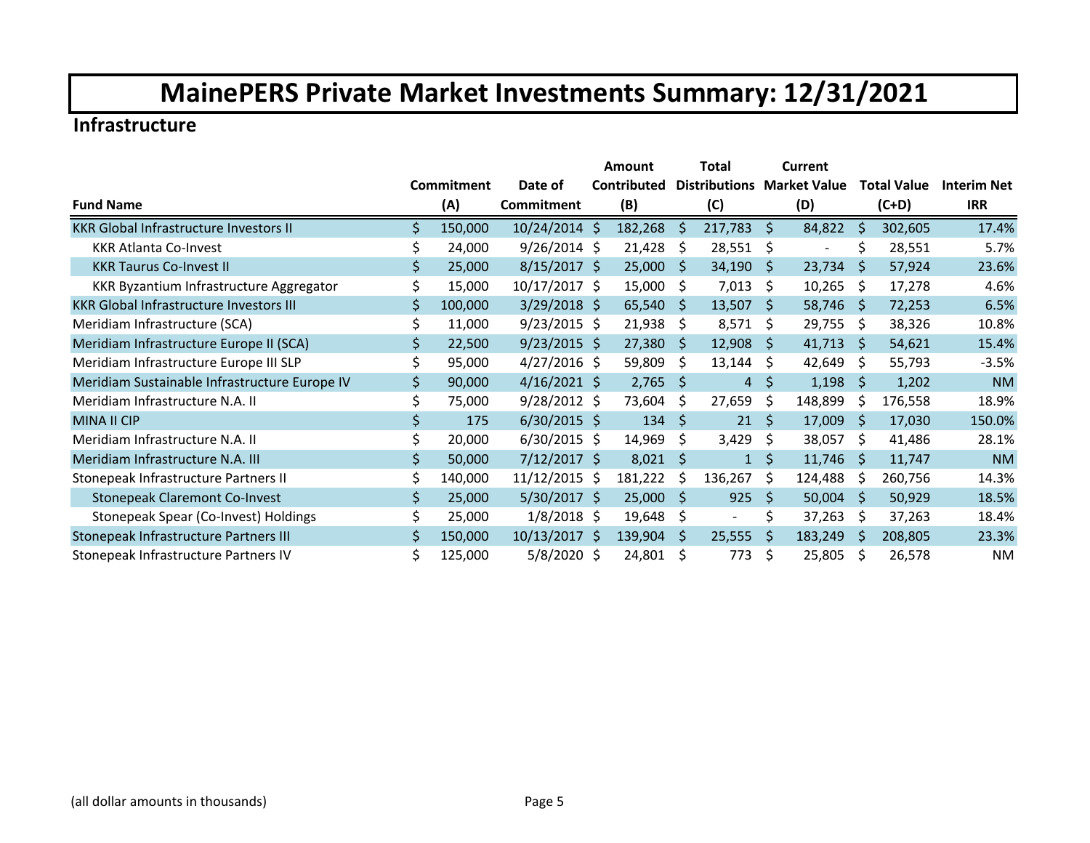#### **Infrastructure**

|                                                |     |            |                 | Amount      |     | Total          |              | Current                           |              |                    |                    |
|------------------------------------------------|-----|------------|-----------------|-------------|-----|----------------|--------------|-----------------------------------|--------------|--------------------|--------------------|
|                                                |     | Commitment | Date of         | Contributed |     |                |              | <b>Distributions Market Value</b> |              | <b>Total Value</b> | <b>Interim Net</b> |
| <b>Fund Name</b>                               |     | (A)        | Commitment      | (B)         |     | (C)            |              | (D)                               |              | $(C+D)$            | <b>IRR</b>         |
| <b>KKR Global Infrastructure Investors II</b>  | Ś.  | 150,000    | 10/24/2014 \$   | 182,268     | Ŝ.  | 217,783        | \$           | 84,822                            | \$           | 302,605            | 17.4%              |
| <b>KKR Atlanta Co-Invest</b>                   | \$  | 24,000     | $9/26/2014$ \$  | 21,428      | Ŝ.  | 28,551         | \$           | $\blacksquare$                    | Ś            | 28,551             | 5.7%               |
| <b>KKR Taurus Co-Invest II</b>                 | \$  | 25,000     | $8/15/2017$ \$  | 25,000      | -S  | 34,190         | S.           | 23,734                            | <sub>S</sub> | 57,924             | 23.6%              |
| KKR Byzantium Infrastructure Aggregator        | \$  | 15,000     | $10/17/2017$ \$ | 15,000      | -S  | 7,013          | \$           | 10,265                            | \$           | 17,278             | 4.6%               |
| <b>KKR Global Infrastructure Investors III</b> | \$  | 100,000    | $3/29/2018$ \$  | 65,540      | Ŝ.  | 13,507         | <sub>S</sub> | 58,746                            | -Ś           | 72,253             | 6.5%               |
| Meridiam Infrastructure (SCA)                  |     | 11,000     | $9/23/2015$ \$  | 21,938      | \$  | 8,571          | \$           | 29,755                            | \$           | 38,326             | 10.8%              |
| Meridiam Infrastructure Europe II (SCA)        | \$  | 22,500     | $9/23/2015$ \$  | 27,380      | -S  | 12,908         | Ŝ.           | 41,713                            | <sub>S</sub> | 54,621             | 15.4%              |
| Meridiam Infrastructure Europe III SLP         |     | 95,000     | $4/27/2016$ \$  | 59,809      | S   | 13,144         | \$           | 42,649                            | \$           | 55,793             | $-3.5%$            |
| Meridiam Sustainable Infrastructure Europe IV  | \$  | 90,000     | $4/16/2021$ \$  | 2,765       | Ŝ.  | $\overline{4}$ | \$           | 1,198                             | -Ś           | 1,202              | <b>NM</b>          |
| Meridiam Infrastructure N.A. II                |     | 75,000     | $9/28/2012$ \$  | 73,604      | Ŝ.  | 27,659         | \$           | 148,899                           | \$           | 176,558            | 18.9%              |
| <b>MINA II CIP</b>                             | \$  | 175        | $6/30/2015$ \$  | 134         | \$  | 21             | $\zeta$      | 17,009                            | S            | 17,030             | 150.0%             |
| Meridiam Infrastructure N.A. II                | \$  | 20,000     | $6/30/2015$ \$  | 14,969      | \$  | 3,429          | \$           | 38,057                            | Ŝ.           | 41,486             | 28.1%              |
| Meridiam Infrastructure N.A. III               | \$. | 50,000     | $7/12/2017$ \$  | 8,021       | \$  | $\mathbf{1}$   | $\zeta$      | 11,746                            | Ŝ.           | 11,747             | <b>NM</b>          |
| Stonepeak Infrastructure Partners II           | \$  | 140,000    | 11/12/2015 \$   | 181,222     | Ŝ.  | 136,267        | Ŝ.           | 124,488                           | S            | 260,756            | 14.3%              |
| <b>Stonepeak Claremont Co-Invest</b>           | \$  | 25,000     | $5/30/2017$ \$  | 25,000      | -S  | 925            | Ŝ.           | 50,004                            | Ŝ.           | 50,929             | 18.5%              |
| Stonepeak Spear (Co-Invest) Holdings           | \$  | 25,000     | $1/8/2018$ \$   | 19,648      | \$. | $\blacksquare$ | \$           | 37,263                            | S            | 37,263             | 18.4%              |
| Stonepeak Infrastructure Partners III          | \$  | 150,000    | 10/13/2017 \$   | 139,904     | \$  | 25,555         | \$           | 183,249                           | S            | 208,805            | 23.3%              |
| Stonepeak Infrastructure Partners IV           | \$  | 125,000    | $5/8/2020$ \$   | 24,801      | S   | 773            | \$           | 25,805                            | S            | 26,578             | <b>NM</b>          |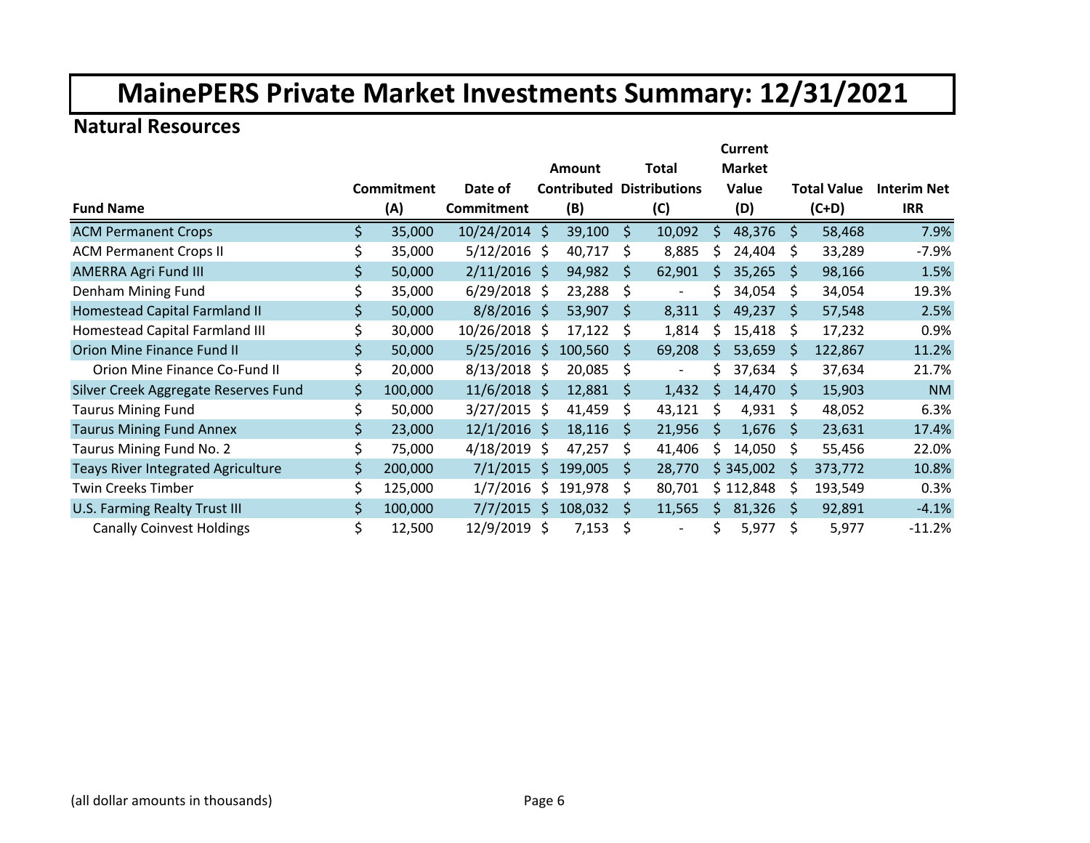### **Natural Resources**

|                                           |               |                   | <b>Current</b> |                    |              |                          |              |               |    |                    |                    |  |
|-------------------------------------------|---------------|-------------------|----------------|--------------------|--------------|--------------------------|--------------|---------------|----|--------------------|--------------------|--|
|                                           |               |                   |                | Amount             |              | <b>Total</b>             |              | <b>Market</b> |    |                    |                    |  |
|                                           | Commitment    | Date of           |                | <b>Contributed</b> |              | <b>Distributions</b>     |              | Value         |    | <b>Total Value</b> | <b>Interim Net</b> |  |
| <b>Fund Name</b>                          | (A)           | <b>Commitment</b> |                | (B)                |              | (C)                      |              | (D)           |    | $(C+D)$            | <b>IRR</b>         |  |
| <b>ACM Permanent Crops</b>                | \$<br>35,000  | 10/24/2014 \$     |                | 39,100             | \$           | 10,092                   | <sup>5</sup> | 48,376        | Ŝ. | 58,468             | 7.9%               |  |
| <b>ACM Permanent Crops II</b>             | \$<br>35,000  | $5/12/2016$ \$    |                | 40,717             | Ś            | 8,885                    | S            | 24,404        | Ŝ  | 33,289             | $-7.9%$            |  |
| <b>AMERRA Agri Fund III</b>               | \$<br>50,000  | $2/11/2016$ \$    |                | 94,982             | \$           | 62,901                   | S            | 35,265        | S  | 98,166             | 1.5%               |  |
| Denham Mining Fund                        | \$<br>35,000  | $6/29/2018$ \$    |                | 23,288             | \$           | $\overline{\phantom{a}}$ | S            | 34,054        | S  | 34,054             | 19.3%              |  |
| Homestead Capital Farmland II             | \$<br>50,000  | $8/8/2016$ \$     |                | 53,907             | <sub>S</sub> | 8,311                    | \$           | 49,237        | S  | 57,548             | 2.5%               |  |
| Homestead Capital Farmland III            | \$<br>30,000  | 10/26/2018        | -Ŝ             | 17,122             | Ś            | 1,814                    | S            | 15,418        | Ŝ  | 17,232             | 0.9%               |  |
| <b>Orion Mine Finance Fund II</b>         | \$<br>50,000  | $5/25/2016$ \$    |                | 100,560            | S            | 69,208                   | S            | 53,659        | S  | 122,867            | 11.2%              |  |
| Orion Mine Finance Co-Fund II             | \$<br>20,000  | $8/13/2018$ \$    |                | 20,085             | \$           |                          | Ś            | 37,634        | \$ | 37,634             | 21.7%              |  |
| Silver Creek Aggregate Reserves Fund      | \$<br>100,000 | $11/6/2018$ \$    |                | 12,881             | \$           | 1,432                    | Ŝ            | 14,470        | Ŝ  | 15,903             | <b>NM</b>          |  |
| <b>Taurus Mining Fund</b>                 | \$<br>50,000  | $3/27/2015$ \$    |                | 41,459             | S            | 43,121                   | -Ŝ           | 4,931         | \$ | 48,052             | 6.3%               |  |
| <b>Taurus Mining Fund Annex</b>           | \$<br>23,000  | $12/1/2016$ \$    |                | 18,116             | S            | 21,956                   | <sub>S</sub> | 1,676         | S  | 23,631             | 17.4%              |  |
| Taurus Mining Fund No. 2                  | \$<br>75,000  | 4/18/2019         | - S            | 47,257             | S.           | 41,406                   | Ŝ            | 14,050        | S  | 55,456             | 22.0%              |  |
| <b>Teays River Integrated Agriculture</b> | \$<br>200,000 | $7/1/2015$ \$     |                | 199,005            | S            | 28,770                   |              | \$345,002     | S  | 373,772            | 10.8%              |  |
| <b>Twin Creeks Timber</b>                 | \$<br>125,000 | 1/7/2016          | S.             | 191,978            | S            | 80,701                   |              | \$112,848     | S  | 193,549            | 0.3%               |  |
| U.S. Farming Realty Trust III             | \$<br>100,000 | 7/7/2015          | Ŝ.             | 108,032            | S            | 11,565                   | Ŝ.           | 81,326        | S  | 92,891             | $-4.1%$            |  |
| <b>Canally Coinvest Holdings</b>          | \$<br>12,500  | 12/9/2019 \$      |                | 7,153              | \$           |                          | \$           | 5,977         | \$ | 5,977              | $-11.2%$           |  |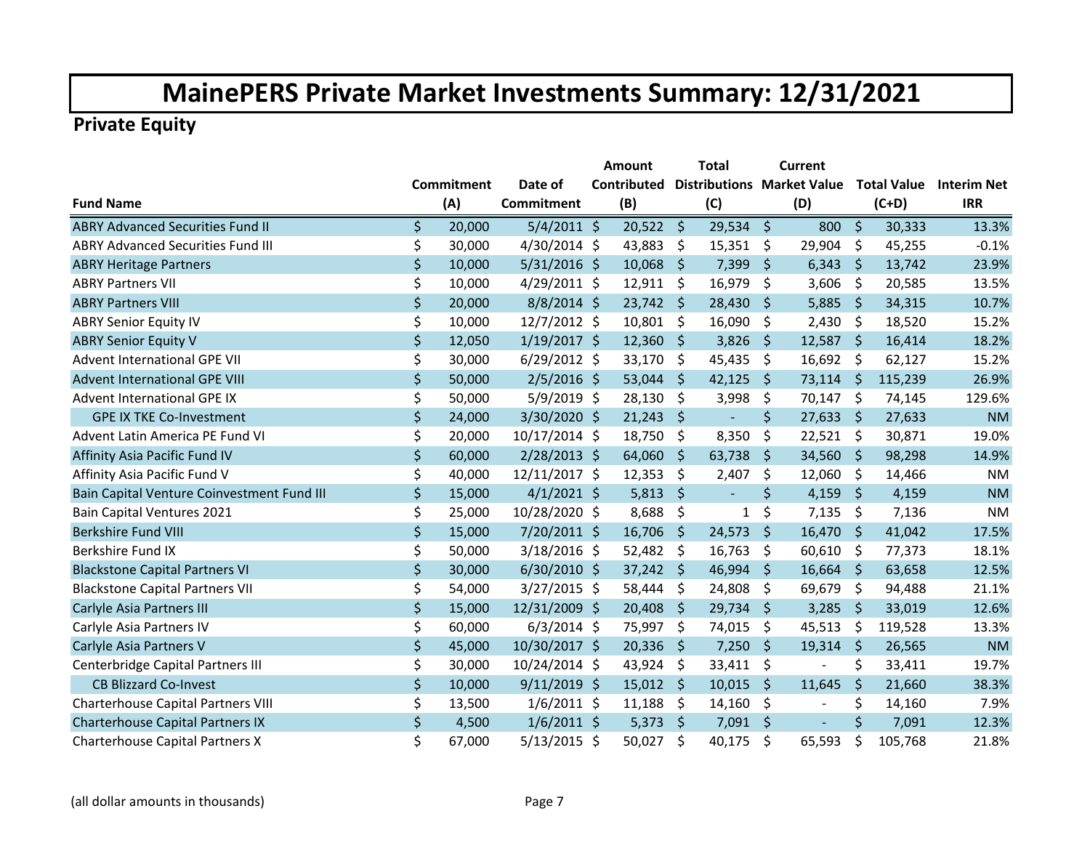|                                            |              |                   | Amount             |                     | <b>Total</b> | Current              |              |         |                                                    |
|--------------------------------------------|--------------|-------------------|--------------------|---------------------|--------------|----------------------|--------------|---------|----------------------------------------------------|
|                                            | Commitment   | Date of           | <b>Contributed</b> |                     |              |                      |              |         | Distributions Market Value Total Value Interim Net |
| <b>Fund Name</b>                           | (A)          | <b>Commitment</b> | (B)                |                     | (C)          | (D)                  |              | $(C+D)$ | <b>IRR</b>                                         |
| <b>ABRY Advanced Securities Fund II</b>    | \$<br>20,000 | $5/4/2011$ \$     | $20,522$ \$        |                     | 29,534       | \$<br>800 \$         |              | 30,333  | 13.3%                                              |
| <b>ABRY Advanced Securities Fund III</b>   | \$<br>30,000 | 4/30/2014 \$      | 43,883             | \$                  | 15,351       | \$<br>29,904         | \$           | 45,255  | $-0.1%$                                            |
| <b>ABRY Heritage Partners</b>              | \$<br>10,000 | $5/31/2016$ \$    | 10,068             | \$                  | 7,399        | \$<br>6,343          | -\$          | 13,742  | 23.9%                                              |
| <b>ABRY Partners VII</b>                   | \$<br>10,000 | $4/29/2011$ \$    | 12,911             | -\$                 | 16,979       | \$<br>3,606          | \$           | 20,585  | 13.5%                                              |
| <b>ABRY Partners VIII</b>                  | \$<br>20,000 | $8/8/2014$ \$     | $23,742$ \$        |                     | 28,430       | \$<br>5,885          | \$           | 34,315  | 10.7%                                              |
| <b>ABRY Senior Equity IV</b>               | \$<br>10,000 | 12/7/2012 \$      | 10,801             | -\$                 | 16,090       | \$<br>2,430          | \$           | 18,520  | 15.2%                                              |
| <b>ABRY Senior Equity V</b>                | \$<br>12,050 | $1/19/2017$ \$    | $12,360$ \$        |                     | 3,826        | \$<br>$12,587$ \$    |              | 16,414  | 18.2%                                              |
| <b>Advent International GPE VII</b>        | \$<br>30,000 | $6/29/2012$ \$    | 33,170             | $\ddot{\mathsf{S}}$ | 45,435       | \$<br>16,692 \$      |              | 62,127  | 15.2%                                              |
| <b>Advent International GPE VIII</b>       | \$<br>50,000 | $2/5/2016$ \$     | 53,044             | \$                  | 42,125       | \$<br>73,114         | $\zeta$      | 115,239 | 26.9%                                              |
| Advent International GPE IX                | \$<br>50,000 | $5/9/2019$ \$     | 28,130             | -\$                 | 3,998        | \$<br>70,147         | \$           | 74,145  | 129.6%                                             |
| <b>GPE IX TKE Co-Investment</b>            | \$<br>24,000 | 3/30/2020 \$      | 21,243             | \$                  | $\equiv$     | \$<br>27,633         | <sub>S</sub> | 27,633  | <b>NM</b>                                          |
| Advent Latin America PE Fund VI            | \$<br>20,000 | 10/17/2014 \$     | 18,750             | \$                  | 8,350        | \$<br>$22,521$ \$    |              | 30,871  | 19.0%                                              |
| Affinity Asia Pacific Fund IV              | \$<br>60,000 | $2/28/2013$ \$    | 64,060             | $\zeta$             | 63,738       | \$<br>34,560 \$      |              | 98,298  | 14.9%                                              |
| Affinity Asia Pacific Fund V               | \$<br>40,000 | 12/11/2017 \$     | 12,353             | $\zeta$             | 2,407        | \$<br>12,060         | -\$          | 14,466  | <b>NM</b>                                          |
| Bain Capital Venture Coinvestment Fund III | \$<br>15,000 | $4/1/2021$ \$     | 5,813              | $\ddot{\mathsf{S}}$ | $\equiv$     | \$<br>4,159          | \$           | 4,159   | <b>NM</b>                                          |
| <b>Bain Capital Ventures 2021</b>          | \$<br>25,000 | 10/28/2020 \$     | 8,688              | \$                  | 1            | \$<br>7,135          | \$           | 7,136   | <b>NM</b>                                          |
| Berkshire Fund VIII                        | \$<br>15,000 | $7/20/2011$ \$    | 16,706             | -\$                 | 24,573       | \$<br>$16,470$ \$    |              | 41,042  | 17.5%                                              |
| Berkshire Fund IX                          | \$<br>50,000 | $3/18/2016$ \$    | $52,482$ \$        |                     | 16,763       | \$<br>$60,610$ \$    |              | 77,373  | 18.1%                                              |
| <b>Blackstone Capital Partners VI</b>      | \$<br>30,000 | $6/30/2010$ \$    | $37,242$ \$        |                     | 46,994       | \$<br>$16,664$ \$    |              | 63,658  | 12.5%                                              |
| <b>Blackstone Capital Partners VII</b>     | \$<br>54,000 | $3/27/2015$ \$    | 58,444             | -\$                 | 24,808       | \$<br>69,679         | \$           | 94,488  | 21.1%                                              |
| Carlyle Asia Partners III                  | \$<br>15,000 | 12/31/2009 \$     | 20,408             | \$                  | 29,734       | \$<br>3,285          | \$           | 33,019  | 12.6%                                              |
| Carlyle Asia Partners IV                   | \$<br>60,000 | $6/3/2014$ \$     | 75,997             | \$                  | 74,015       | \$<br>45,513         | \$           | 119,528 | 13.3%                                              |
| Carlyle Asia Partners V                    | \$<br>45,000 | 10/30/2017 \$     | 20,336             | - \$                | 7,250        | \$<br>19,314         | $\zeta$      | 26,565  | <b>NM</b>                                          |
| Centerbridge Capital Partners III          | \$<br>30,000 | 10/24/2014 \$     | 43,924             | -\$                 | 33,411       | \$<br>$\blacksquare$ | \$           | 33,411  | 19.7%                                              |
| <b>CB Blizzard Co-Invest</b>               | \$<br>10,000 | $9/11/2019$ \$    | $15,012$ \$        |                     | 10,015       | \$<br>11,645         | $\zeta$      | 21,660  | 38.3%                                              |
| <b>Charterhouse Capital Partners VIII</b>  | \$<br>13,500 | $1/6/2011$ \$     | 11,188             | \$                  | 14,160       | \$<br>$\blacksquare$ | \$           | 14,160  | 7.9%                                               |
| Charterhouse Capital Partners IX           | \$<br>4,500  | $1/6/2011$ \$     | 5,373              | -\$                 | 7,091        | \$                   | \$           | 7,091   | 12.3%                                              |
| Charterhouse Capital Partners X            | \$<br>67,000 | $5/13/2015$ \$    | 50,027             | \$                  | 40,175       | \$<br>65,593         | \$           | 105,768 | 21.8%                                              |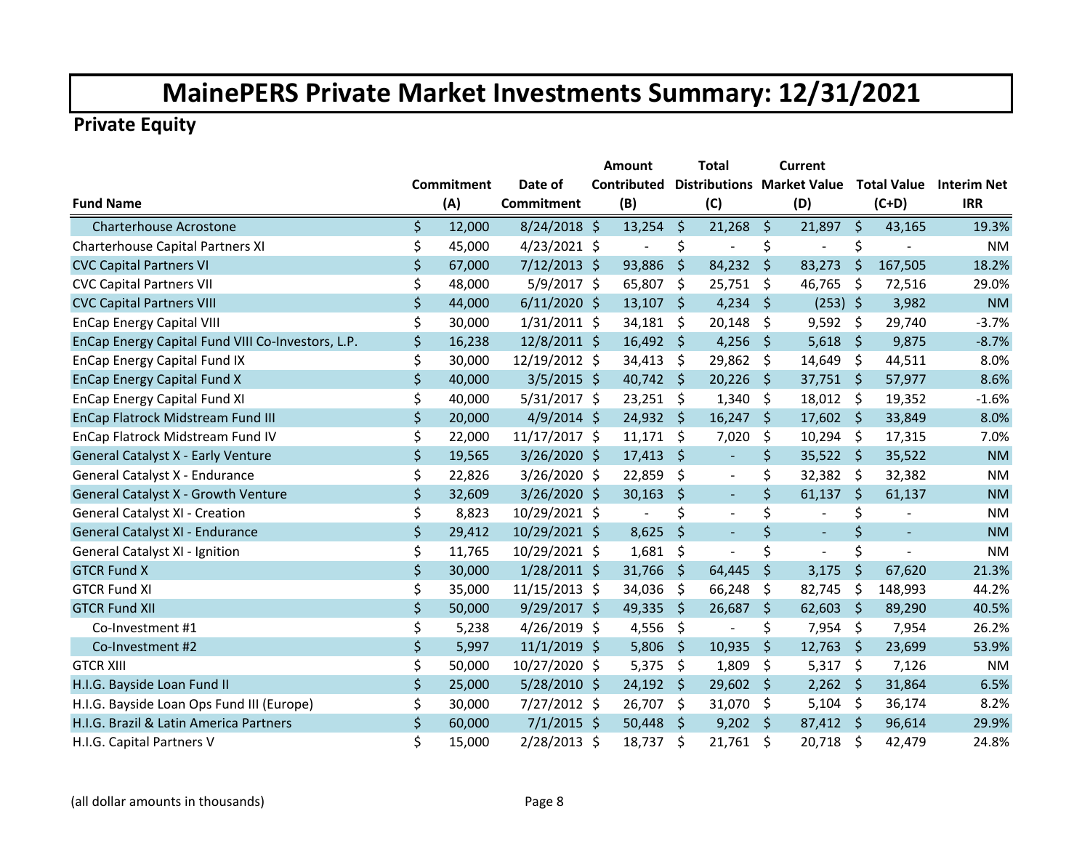|                                                   |              |                   | Amount                       |                     | <b>Total</b>                      |         | <b>Current</b>           |               |          |                         |
|---------------------------------------------------|--------------|-------------------|------------------------------|---------------------|-----------------------------------|---------|--------------------------|---------------|----------|-------------------------|
|                                                   | Commitment   | Date of           | <b>Contributed</b>           |                     | <b>Distributions Market Value</b> |         |                          |               |          | Total Value Interim Net |
| <b>Fund Name</b>                                  | (A)          | <b>Commitment</b> | (B)                          |                     | (C)                               |         | (D)                      |               | $(C+D)$  | <b>IRR</b>              |
| <b>Charterhouse Acrostone</b>                     | \$<br>12,000 | 8/24/2018 \$      | $13,254$ \$                  |                     | 21,268                            | $\zeta$ | 21,897                   | -\$           | 43,165   | 19.3%                   |
| Charterhouse Capital Partners XI                  | \$<br>45,000 | $4/23/2021$ \$    | $\overline{a}$               | \$                  | ÷,                                | \$      | $\overline{a}$           | \$            |          | <b>NM</b>               |
| <b>CVC Capital Partners VI</b>                    | \$<br>67,000 | $7/12/2013$ \$    | 93,886                       | $\ddot{\varsigma}$  | 84,232                            | $\zeta$ | 83,273                   | $\zeta$       | 167,505  | 18.2%                   |
| <b>CVC Capital Partners VII</b>                   | \$<br>48,000 | $5/9/2017$ \$     | 65,807                       | \$                  | 25,751                            | \$      | 46,765                   | \$            | 72,516   | 29.0%                   |
| <b>CVC Capital Partners VIII</b>                  | \$<br>44,000 | $6/11/2020$ \$    | 13,107                       | \$                  | 4,234                             | \$      | $(253)$ \$               |               | 3,982    | <b>NM</b>               |
| <b>EnCap Energy Capital VIII</b>                  | \$<br>30,000 | $1/31/2011$ \$    | 34,181                       | -\$                 | 20,148                            | \$      | $9,592$ \$               |               | 29,740   | $-3.7%$                 |
| EnCap Energy Capital Fund VIII Co-Investors, L.P. | \$<br>16,238 | 12/8/2011 \$      | $16,492 \div$                |                     | 4,256                             | \$      | $5,618$ \$               |               | 9,875    | $-8.7%$                 |
| <b>EnCap Energy Capital Fund IX</b>               | \$<br>30,000 | 12/19/2012 \$     | 34,413                       | -\$                 | 29,862                            | \$      | 14,649                   | \$            | 44,511   | 8.0%                    |
| <b>EnCap Energy Capital Fund X</b>                | \$<br>40,000 | $3/5/2015$ \$     | 40,742                       | $\ddot{\mathsf{S}}$ | 20,226                            | \$      | 37,751                   | \$            | 57,977   | 8.6%                    |
| <b>EnCap Energy Capital Fund XI</b>               | \$<br>40,000 | $5/31/2017$ \$    | 23,251                       | -\$                 | 1,340                             | \$      | 18,012                   | -\$           | 19,352   | $-1.6%$                 |
| EnCap Flatrock Midstream Fund III                 | \$<br>20,000 | $4/9/2014$ \$     | 24,932 \$                    |                     | 16,247                            | \$      | 17,602 \$                |               | 33,849   | 8.0%                    |
| EnCap Flatrock Midstream Fund IV                  | \$<br>22,000 | 11/17/2017 \$     | 11,171                       | \$                  | 7,020                             | \$      | $10,294$ \$              |               | 17,315   | 7.0%                    |
| General Catalyst X - Early Venture                | \$<br>19,565 | $3/26/2020$ \$    | 17,413                       | $\ddot{\mathsf{S}}$ | $\blacksquare$                    | \$      | $35,522$ \$              |               | 35,522   | <b>NM</b>               |
| General Catalyst X - Endurance                    | \$<br>22,826 | $3/26/2020$ \$    | 22,859                       | -\$                 | $\Box$                            | \$      | $32,382$ \$              |               | 32,382   | <b>NM</b>               |
| General Catalyst X - Growth Venture               | \$<br>32,609 | 3/26/2020 \$      | 30,163                       | \$                  | $\blacksquare$                    | \$      | 61,137                   | $\ddot{\phi}$ | 61,137   | <b>NM</b>               |
| <b>General Catalyst XI - Creation</b>             | \$<br>8,823  | 10/29/2021 \$     | $\qquad \qquad \blacksquare$ | \$                  | $\blacksquare$                    | \$      | $\blacksquare$           | \$            |          | <b>NM</b>               |
| General Catalyst XI - Endurance                   | \$<br>29,412 | 10/29/2021 \$     | 8,625                        | \$                  | $\blacksquare$                    | \$      | $\blacksquare$           | \$            | $\equiv$ | <b>NM</b>               |
| General Catalyst XI - Ignition                    | \$<br>11,765 | 10/29/2021 \$     | 1,681                        | \$                  | $\overline{a}$                    | \$      | $\overline{\phantom{0}}$ | \$            |          | <b>NM</b>               |
| <b>GTCR Fund X</b>                                | \$<br>30,000 | $1/28/2011$ \$    | 31,766                       | \$                  | 64,445                            | \$      | 3,175                    | \$            | 67,620   | 21.3%                   |
| <b>GTCR Fund XI</b>                               | \$<br>35,000 | 11/15/2013 \$     | 34,036                       | \$                  | 66,248                            | \$      | 82,745                   | \$            | 148,993  | 44.2%                   |
| <b>GTCR Fund XII</b>                              | \$<br>50,000 | $9/29/2017$ \$    | 49,335                       | $\ddot{\varsigma}$  | 26,687                            | \$      | 62,603                   | \$            | 89,290   | 40.5%                   |
| Co-Investment #1                                  | \$<br>5,238  | $4/26/2019$ \$    | 4,556                        | \$                  | $\overline{a}$                    | \$      | 7,954                    | \$            | 7,954    | 26.2%                   |
| Co-Investment #2                                  | \$<br>5,997  | $11/1/2019$ \$    | 5,806                        | \$                  | 10,935                            | \$      | 12,763                   | \$            | 23,699   | 53.9%                   |
| <b>GTCR XIII</b>                                  | \$<br>50,000 | 10/27/2020 \$     | 5,375                        | -\$                 | 1,809                             | \$      | 5,317                    | \$            | 7,126    | <b>NM</b>               |
| H.I.G. Bayside Loan Fund II                       | \$<br>25,000 | 5/28/2010 \$      | $24,192$ \$                  |                     | 29,602                            | \$      | $2,262$ \$               |               | 31,864   | 6.5%                    |
| H.I.G. Bayside Loan Ops Fund III (Europe)         | \$<br>30,000 | $7/27/2012$ \$    | 26,707                       | -\$                 | 31,070                            | \$      | 5,104                    | - \$          | 36,174   | 8.2%                    |
| H.I.G. Brazil & Latin America Partners            | \$<br>60,000 | $7/1/2015$ \$     | 50,448                       | $\ddot{\zeta}$      | 9,202                             | \$      | 87,412 \$                |               | 96,614   | 29.9%                   |
| H.I.G. Capital Partners V                         | \$<br>15,000 | $2/28/2013$ \$    | 18,737                       | \$                  | 21,761                            | \$      | 20,718                   | \$            | 42,479   | 24.8%                   |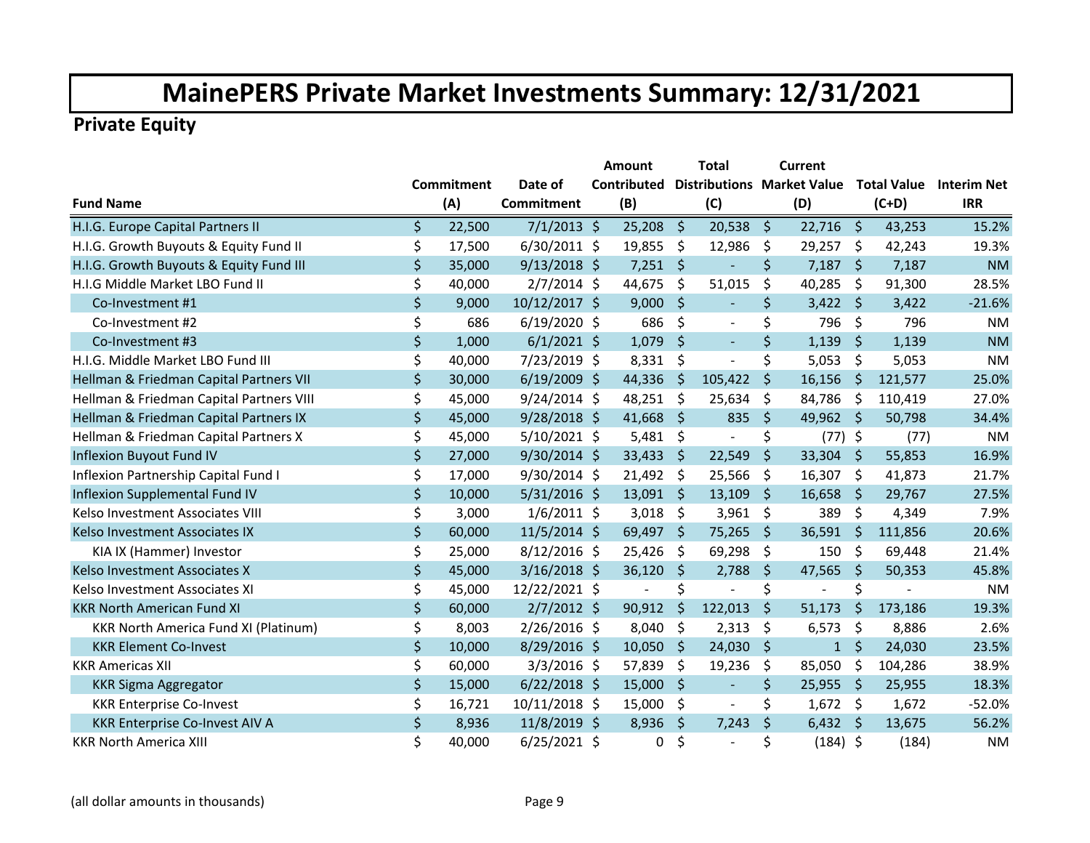|                                             |    |                   |                   | <b>Amount</b>            |                     | Total                             |         | <b>Current</b> |              |         |                                |
|---------------------------------------------|----|-------------------|-------------------|--------------------------|---------------------|-----------------------------------|---------|----------------|--------------|---------|--------------------------------|
|                                             |    | <b>Commitment</b> | Date of           | <b>Contributed</b>       |                     | <b>Distributions Market Value</b> |         |                |              |         | <b>Total Value</b> Interim Net |
| <b>Fund Name</b>                            |    | (A)               | <b>Commitment</b> | (B)                      |                     | (C)                               |         | (D)            |              | $(C+D)$ | <b>IRR</b>                     |
| H.I.G. Europe Capital Partners II           | \$ | 22,500            | $7/1/2013$ \$     | 25,208                   | - \$                | 20,538                            | \$      | $22,716$ \$    |              | 43,253  | 15.2%                          |
| H.I.G. Growth Buyouts & Equity Fund II      | \$ | 17,500            | $6/30/2011$ \$    | 19,855                   | \$                  | 12,986                            | \$      | 29,257         | -\$          | 42,243  | 19.3%                          |
| H.I.G. Growth Buyouts & Equity Fund III     | \$ | 35,000            | $9/13/2018$ \$    | $7,251$ \$               |                     |                                   | $\zeta$ | $7,187$ \$     |              | 7,187   | <b>NM</b>                      |
| H.I.G Middle Market LBO Fund II             | \$ | 40,000            | $2/7/2014$ \$     | 44,675                   | \$                  | 51,015                            | \$      | 40,285         | \$           | 91,300  | 28.5%                          |
| Co-Investment #1                            | \$ | 9,000             | 10/12/2017 \$     | 9,000                    | \$                  | $\blacksquare$                    | \$      | 3,422          | \$           | 3,422   | $-21.6%$                       |
| Co-Investment #2                            | \$ | 686               | $6/19/2020$ \$    | 686                      | \$                  | $\blacksquare$                    | \$      | 796            | \$           | 796     | <b>NM</b>                      |
| Co-Investment #3                            | \$ | 1,000             | $6/1/2021$ \$     | 1,079                    | \$                  | $\omega$                          | $\zeta$ | 1,139          | \$           | 1,139   | <b>NM</b>                      |
| H.I.G. Middle Market LBO Fund III           | \$ | 40,000            | 7/23/2019 \$      | 8,331                    | - \$                | ÷,                                | \$      | 5,053          | \$           | 5,053   | <b>NM</b>                      |
| Hellman & Friedman Capital Partners VII     | \$ | 30,000            | $6/19/2009$ \$    | 44,336                   | \$                  | 105,422                           | $\zeta$ | 16,156         | \$           | 121,577 | 25.0%                          |
| Hellman & Friedman Capital Partners VIII    | \$ | 45,000            | $9/24/2014$ \$    | 48,251                   | $\zeta$             | 25,634                            | \$      | 84,786         | \$           | 110,419 | 27.0%                          |
| Hellman & Friedman Capital Partners IX      | \$ | 45,000            | $9/28/2018$ \$    | 41,668                   | \$.                 | 835                               | \$      | 49,962 \$      |              | 50,798  | 34.4%                          |
| Hellman & Friedman Capital Partners X       | \$ | 45,000            | $5/10/2021$ \$    | 5,481                    | \$                  | $\blacksquare$                    | \$      | $(77)$ \$      |              | (77)    | <b>NM</b>                      |
| Inflexion Buyout Fund IV                    | \$ | 27,000            | $9/30/2014$ \$    | 33,433                   | \$                  | 22,549                            | \$      | 33,304 \$      |              | 55,853  | 16.9%                          |
| Inflexion Partnership Capital Fund I        | \$ | 17,000            | $9/30/2014$ \$    | 21,492 \$                |                     | 25,566                            | \$      | 16,307         | \$           | 41,873  | 21.7%                          |
| Inflexion Supplemental Fund IV              | \$ | 10,000            | $5/31/2016$ \$    | $13,091$ \$              |                     | 13,109                            | $\zeta$ | 16,658         | \$           | 29,767  | 27.5%                          |
| Kelso Investment Associates VIII            | \$ | 3,000             | $1/6/2011$ \$     | 3,018                    | \$                  | 3,961                             | \$      | 389            | \$           | 4,349   | 7.9%                           |
| Kelso Investment Associates IX              | \$ | 60,000            | $11/5/2014$ \$    | 69,497                   | \$                  | 75,265                            | \$      | 36,591         | <sub>S</sub> | 111,856 | 20.6%                          |
| KIA IX (Hammer) Investor                    | \$ | 25,000            | $8/12/2016$ \$    | 25,426                   | \$                  | 69,298                            | \$      | 150            | \$           | 69,448  | 21.4%                          |
| Kelso Investment Associates X               | \$ | 45,000            | $3/16/2018$ \$    | 36,120                   | $\zeta$             | 2,788                             | \$      | 47,565         | $\zeta$      | 50,353  | 45.8%                          |
| Kelso Investment Associates XI              | \$ | 45,000            | 12/22/2021 \$     | $\overline{\phantom{a}}$ | \$                  | $\overline{\phantom{a}}$          | \$      | $\overline{a}$ | \$           |         | <b>NM</b>                      |
| <b>KKR North American Fund XI</b>           | \$ | 60,000            | $2/7/2012$ \$     | 90,912                   | -\$                 | 122,013                           | \$      | 51,173         | \$           | 173,186 | 19.3%                          |
| <b>KKR North America Fund XI (Platinum)</b> | \$ | 8,003             | $2/26/2016$ \$    | 8,040                    | \$                  | 2,313                             | \$      | 6,573          | \$           | 8,886   | 2.6%                           |
| <b>KKR Element Co-Invest</b>                | \$ | 10,000            | $8/29/2016$ \$    | 10,050                   | \$                  | 24,030                            | \$      | $\mathbf{1}$   | \$           | 24,030  | 23.5%                          |
| <b>KKR Americas XII</b>                     | \$ | 60,000            | $3/3/2016$ \$     | 57,839                   | \$                  | 19,236                            | \$      | 85,050         | \$           | 104,286 | 38.9%                          |
| <b>KKR Sigma Aggregator</b>                 | \$ | 15,000            | $6/22/2018$ \$    | 15,000                   | \$                  | $\blacksquare$                    | $\zeta$ | 25,955         | -\$          | 25,955  | 18.3%                          |
| <b>KKR Enterprise Co-Invest</b>             | \$ | 16,721            | 10/11/2018 \$     | 15,000                   | $\ddot{\mathsf{S}}$ | $\overline{\phantom{a}}$          | \$      | $1,672$ \$     |              | 1,672   | $-52.0%$                       |
| KKR Enterprise Co-Invest AIV A              | \$ | 8,936             | 11/8/2019 \$      | 8,936                    | \$                  | 7,243                             | $\zeta$ | $6,432$ \$     |              | 13,675  | 56.2%                          |
| <b>KKR North America XIII</b>               | Ś  | 40,000            | $6/25/2021$ \$    | 0                        | \$                  | $\overline{a}$                    | \$      | $(184)$ \$     |              | (184)   | <b>NM</b>                      |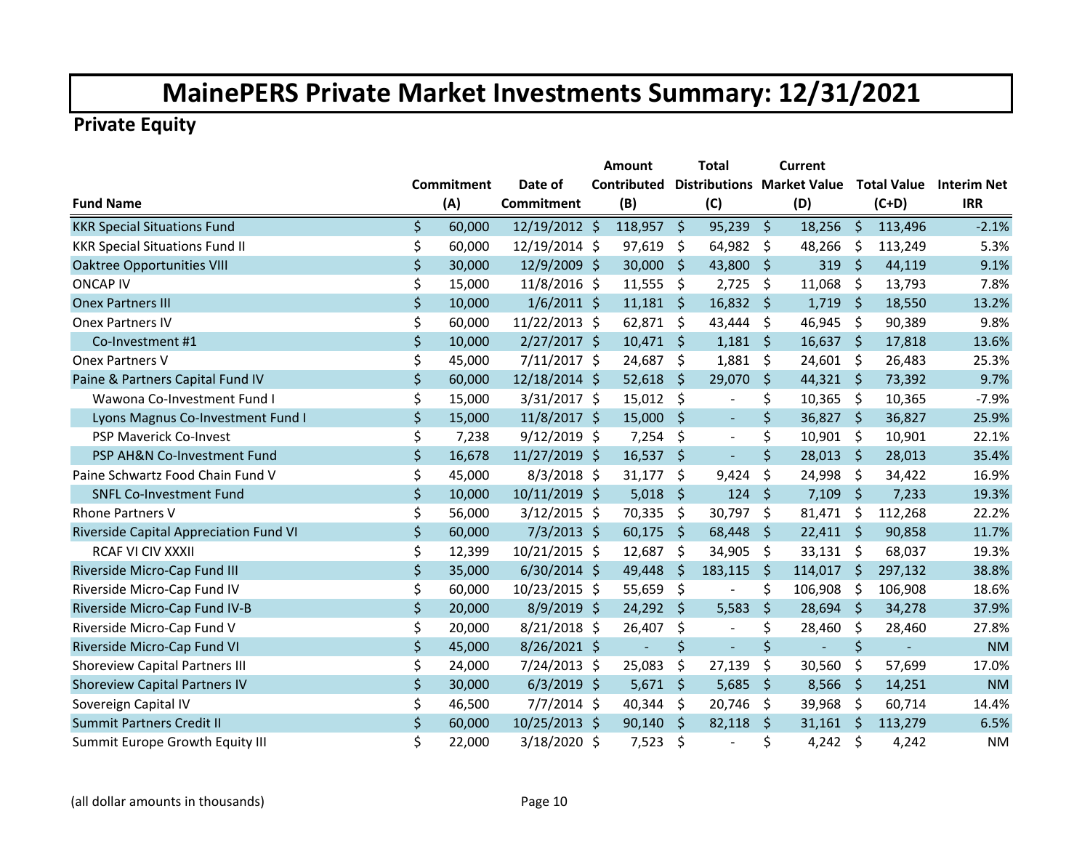|                                        |                   |                   | <b>Amount</b>                                 |                     | Total                        |         | Current        |                    |         |                         |
|----------------------------------------|-------------------|-------------------|-----------------------------------------------|---------------------|------------------------------|---------|----------------|--------------------|---------|-------------------------|
|                                        | <b>Commitment</b> | Date of           | <b>Contributed Distributions Market Value</b> |                     |                              |         |                |                    |         | Total Value Interim Net |
| <b>Fund Name</b>                       | (A)               | <b>Commitment</b> | (B)                                           |                     | (C)                          |         | (D)            |                    | $(C+D)$ | <b>IRR</b>              |
| <b>KKR Special Situations Fund</b>     | \$<br>60,000      | 12/19/2012 \$     | $118,957$ \$                                  |                     | 95,239                       | \$      | 18,256         | -\$                | 113,496 | $-2.1%$                 |
| <b>KKR Special Situations Fund II</b>  | \$<br>60,000      | 12/19/2014 \$     | 97,619                                        | \$                  | 64,982                       | \$      | 48,266         | $\ddot{\varsigma}$ | 113,249 | 5.3%                    |
| <b>Oaktree Opportunities VIII</b>      | \$<br>30,000      | 12/9/2009 \$      | 30,000                                        | $\zeta$             | 43,800                       | $\zeta$ | 319            | Ŝ.                 | 44,119  | 9.1%                    |
| <b>ONCAP IV</b>                        | \$<br>15,000      | 11/8/2016 \$      | 11,555                                        | \$                  | 2,725                        | \$      | 11,068         | \$                 | 13,793  | 7.8%                    |
| <b>Onex Partners III</b>               | \$<br>10,000      | $1/6/2011$ \$     | 11,181                                        | -S                  | 16,832                       | \$      | 1,719          | \$                 | 18,550  | 13.2%                   |
| <b>Onex Partners IV</b>                | \$<br>60,000      | 11/22/2013 \$     | 62,871                                        | \$                  | 43,444                       | \$      | 46,945         | \$                 | 90,389  | 9.8%                    |
| Co-Investment #1                       | \$<br>10,000      | $2/27/2017$ \$    | $10,471$ \$                                   |                     | 1,181                        | \$.     | $16,637$ \$    |                    | 17,818  | 13.6%                   |
| Onex Partners V                        | \$<br>45,000      | $7/11/2017$ \$    | 24,687                                        | \$                  | 1,881                        | \$      | 24,601 \$      |                    | 26,483  | 25.3%                   |
| Paine & Partners Capital Fund IV       | \$<br>60,000      | 12/18/2014 \$     | 52,618                                        | \$                  | 29,070                       | \$      | $44,321$ \$    |                    | 73,392  | 9.7%                    |
| Wawona Co-Investment Fund I            | \$<br>15,000      | 3/31/2017 \$      | 15,012                                        | \$                  | $\qquad \qquad \blacksquare$ | \$      | 10,365         | \$                 | 10,365  | $-7.9%$                 |
| Lyons Magnus Co-Investment Fund I      | \$<br>15,000      | 11/8/2017 \$      | 15,000                                        | S.                  | $\blacksquare$               | $\zeta$ | 36,827         | -\$                | 36,827  | 25.9%                   |
| PSP Maverick Co-Invest                 | \$<br>7,238       | $9/12/2019$ \$    | 7,254                                         | \$                  | $\blacksquare$               | \$      | 10,901         | - \$               | 10,901  | 22.1%                   |
| PSP AH&N Co-Investment Fund            | \$<br>16,678      | 11/27/2019 \$     | 16,537                                        | \$                  | $\equiv$                     | $\zeta$ | 28,013 \$      |                    | 28,013  | 35.4%                   |
| Paine Schwartz Food Chain Fund V       | \$<br>45,000      | $8/3/2018$ \$     | 31,177                                        | \$                  | 9,424                        | \$      | 24,998         | -\$                | 34,422  | 16.9%                   |
| <b>SNFL Co-Investment Fund</b>         | \$<br>10,000      | 10/11/2019 \$     | 5,018                                         | $\ddot{\varsigma}$  | 124                          | $\zeta$ | 7,109          | $\zeta$            | 7,233   | 19.3%                   |
| Rhone Partners V                       | \$<br>56,000      | $3/12/2015$ \$    | 70,335                                        | \$                  | 30,797                       | \$      | 81,471         | -\$                | 112,268 | 22.2%                   |
| Riverside Capital Appreciation Fund VI | \$<br>60,000      | $7/3/2013$ \$     | 60,175                                        | \$                  | 68,448                       | \$      | $22,411$ \$    |                    | 90,858  | 11.7%                   |
| <b>RCAF VI CIV XXXII</b>               | \$<br>12,399      | 10/21/2015 \$     | 12,687                                        | \$                  | 34,905                       | \$      | 33,131         | -\$                | 68,037  | 19.3%                   |
| Riverside Micro-Cap Fund III           | \$<br>35,000      | $6/30/2014$ \$    | 49,448                                        | $\zeta$             | 183,115                      | \$      | 114,017        | $\ddot{\varsigma}$ | 297,132 | 38.8%                   |
| Riverside Micro-Cap Fund IV            | \$<br>60,000      | 10/23/2015 \$     | 55,659                                        | \$                  | $\blacksquare$               | \$      | 106,908        | \$                 | 106,908 | 18.6%                   |
| Riverside Micro-Cap Fund IV-B          | \$<br>20,000      | $8/9/2019$ \$     | $24,292$ \$                                   |                     | 5,583                        | \$      | $28,694$ \$    |                    | 34,278  | 37.9%                   |
| Riverside Micro-Cap Fund V             | \$<br>20,000      | $8/21/2018$ \$    | 26,407                                        | \$                  | $\blacksquare$               | \$      | 28,460         | \$                 | 28,460  | 27.8%                   |
| Riverside Micro-Cap Fund VI            | \$<br>45,000      | $8/26/2021$ \$    | $\blacksquare$                                | \$                  | $\blacksquare$               | $\zeta$ | $\blacksquare$ | \$                 |         | <b>NM</b>               |
| <b>Shoreview Capital Partners III</b>  | \$<br>24,000      | 7/24/2013 \$      | 25,083                                        | \$                  | 27,139                       | \$      | 30,560         | \$                 | 57,699  | 17.0%                   |
| <b>Shoreview Capital Partners IV</b>   | \$<br>30,000      | $6/3/2019$ \$     | 5,671                                         | $\zeta$             | 5,685                        | \$      | 8,566          | $\zeta$            | 14,251  | <b>NM</b>               |
| Sovereign Capital IV                   | \$<br>46,500      | $7/7/2014$ \$     | 40,344                                        | $\ddot{\mathsf{S}}$ | 20,746                       | \$      | 39,968         | \$                 | 60,714  | 14.4%                   |
| <b>Summit Partners Credit II</b>       | \$<br>60,000      | 10/25/2013 \$     | 90,140                                        | Ŝ.                  | 82,118                       | \$      | $31,161$ \$    |                    | 113,279 | 6.5%                    |
| Summit Europe Growth Equity III        | \$<br>22,000      | 3/18/2020 \$      | 7,523                                         | \$                  | L.                           | \$      | 4,242 \$       |                    | 4,242   | <b>NM</b>               |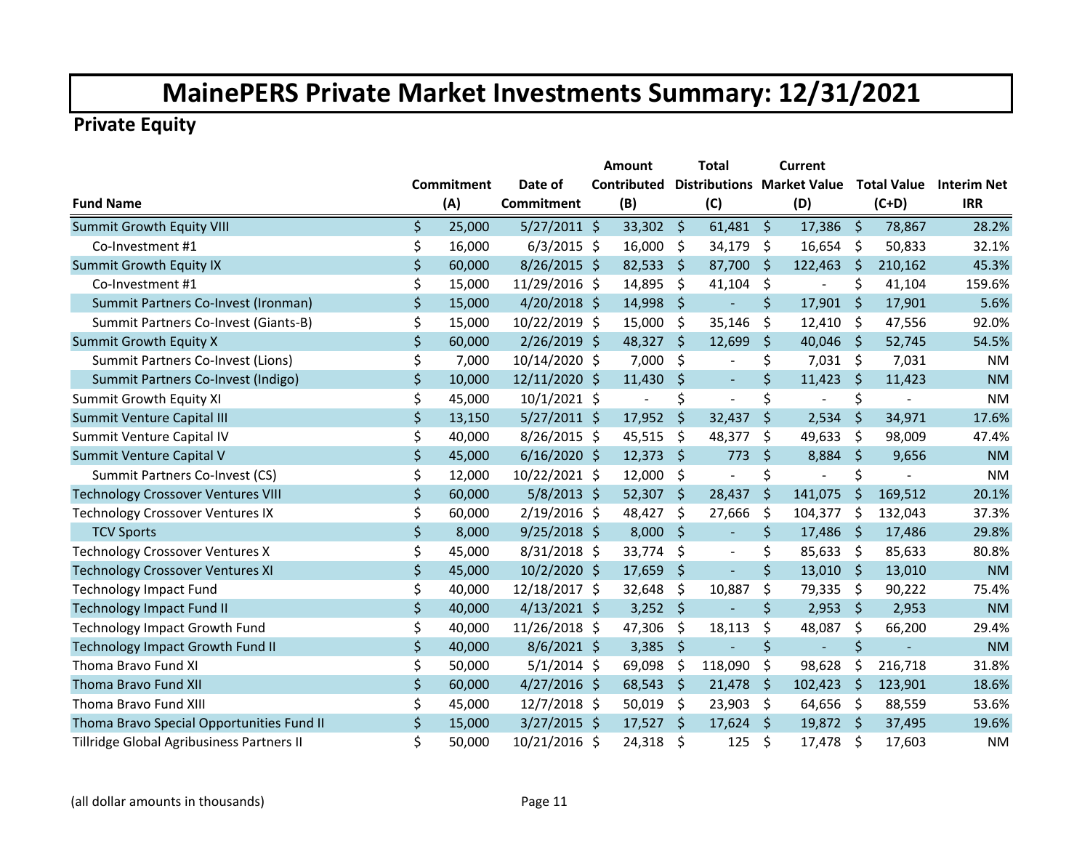|                                           |              |                | Amount             |                     | <b>Total</b>                      |         | Current        |         |                    |                    |
|-------------------------------------------|--------------|----------------|--------------------|---------------------|-----------------------------------|---------|----------------|---------|--------------------|--------------------|
|                                           | Commitment   | Date of        | <b>Contributed</b> |                     | <b>Distributions Market Value</b> |         |                |         | <b>Total Value</b> | <b>Interim Net</b> |
| <b>Fund Name</b>                          | (A)          | Commitment     | (B)                |                     | (C)                               |         | (D)            |         | $(C+D)$            | <b>IRR</b>         |
| <b>Summit Growth Equity VIII</b>          | \$<br>25,000 | $5/27/2011$ \$ | $33,302$ \$        |                     | $61,481$ \$                       |         | $17,386$ \$    |         | 78,867             | 28.2%              |
| Co-Investment #1                          | \$<br>16,000 | $6/3/2015$ \$  | 16,000             | \$                  | 34,179                            | \$      | $16,654$ \$    |         | 50,833             | 32.1%              |
| <b>Summit Growth Equity IX</b>            | \$<br>60,000 | $8/26/2015$ \$ | 82,533             | - \$                | 87,700                            | Ŝ.      | 122,463        | $\zeta$ | 210,162            | 45.3%              |
| Co-Investment #1                          | \$<br>15,000 | 11/29/2016 \$  | 14,895             | \$                  | 41,104                            | \$      | $\blacksquare$ | \$      | 41,104             | 159.6%             |
| Summit Partners Co-Invest (Ironman)       | \$<br>15,000 | $4/20/2018$ \$ | 14,998             | \$                  | $\blacksquare$                    | \$      | 17,901         | \$      | 17,901             | 5.6%               |
| Summit Partners Co-Invest (Giants-B)      | \$<br>15,000 | 10/22/2019 \$  | 15,000             | \$                  | 35,146                            | \$      | 12,410         | \$      | 47,556             | 92.0%              |
| <b>Summit Growth Equity X</b>             | \$<br>60,000 | 2/26/2019 \$   | 48,327             | -\$                 | 12,699                            | \$      | 40,046 \$      |         | 52,745             | 54.5%              |
| Summit Partners Co-Invest (Lions)         | \$<br>7,000  | 10/14/2020 \$  | 7,000              | \$                  | $\blacksquare$                    | \$      | $7,031$ \$     |         | 7,031              | <b>NM</b>          |
| Summit Partners Co-Invest (Indigo)        | \$<br>10,000 | 12/11/2020 \$  | 11,430             | \$                  | $\mathcal{L}$                     | \$      | 11,423         | -S      | 11,423             | <b>NM</b>          |
| <b>Summit Growth Equity XI</b>            | \$<br>45,000 | $10/1/2021$ \$ |                    | \$                  | ÷,                                | \$      | $\blacksquare$ | \$      |                    | <b>NM</b>          |
| Summit Venture Capital III                | \$<br>13,150 | $5/27/2011$ \$ | 17,952             | \$                  | 32,437                            | \$      | 2,534          | \$      | 34,971             | 17.6%              |
| Summit Venture Capital IV                 | \$<br>40,000 | $8/26/2015$ \$ | 45,515             | \$                  | 48,377                            | \$      | 49,633         | \$      | 98,009             | 47.4%              |
| Summit Venture Capital V                  | \$<br>45,000 | $6/16/2020$ \$ | 12,373             | $\ddot{\mathsf{s}}$ | 773                               | \$      | 8,884          | $\zeta$ | 9,656              | <b>NM</b>          |
| Summit Partners Co-Invest (CS)            | \$<br>12,000 | 10/22/2021 \$  | 12,000             | \$                  | ÷,                                | \$      | $\blacksquare$ | \$      |                    | <b>NM</b>          |
| <b>Technology Crossover Ventures VIII</b> | \$<br>60,000 | $5/8/2013$ \$  | $52,307$ \$        |                     | 28,437                            | $\zeta$ | 141,075        | $\zeta$ | 169,512            | 20.1%              |
| <b>Technology Crossover Ventures IX</b>   | \$<br>60,000 | $2/19/2016$ \$ | 48,427             | \$                  | 27,666                            | \$      | 104,377        | \$      | 132,043            | 37.3%              |
| <b>TCV Sports</b>                         | \$<br>8,000  | $9/25/2018$ \$ | 8,000              | Ŝ.                  |                                   | \$      | 17,486         | -Ś      | 17,486             | 29.8%              |
| <b>Technology Crossover Ventures X</b>    | \$<br>45,000 | 8/31/2018 \$   | 33,774             | \$                  | $\blacksquare$                    | \$      | 85,633         | \$      | 85,633             | 80.8%              |
| <b>Technology Crossover Ventures XI</b>   | \$<br>45,000 | 10/2/2020 \$   | 17,659             | \$                  | $\equiv$                          | \$      | 13,010         | -\$     | 13,010             | <b>NM</b>          |
| <b>Technology Impact Fund</b>             | \$<br>40,000 | 12/18/2017 \$  | 32,648             | \$                  | 10,887                            | \$      | 79,335         | \$      | 90,222             | 75.4%              |
| <b>Technology Impact Fund II</b>          | \$<br>40,000 | $4/13/2021$ \$ | $3,252$ \$         |                     | $\equiv$                          | $\zeta$ | 2,953          | $\zeta$ | 2,953              | <b>NM</b>          |
| <b>Technology Impact Growth Fund</b>      | \$<br>40,000 | 11/26/2018 \$  | 47,306             | \$                  | 18,113                            | \$      | 48,087         | \$      | 66,200             | 29.4%              |
| <b>Technology Impact Growth Fund II</b>   | \$<br>40,000 | $8/6/2021$ \$  | 3,385              | $\frac{1}{2}$       | Ξ                                 | \$      | $\blacksquare$ | \$      |                    | <b>NM</b>          |
| Thoma Bravo Fund XI                       | \$<br>50,000 | $5/1/2014$ \$  | 69,098             | \$                  | 118,090                           | \$      | 98,628         | \$      | 216,718            | 31.8%              |
| Thoma Bravo Fund XII                      | \$<br>60,000 | $4/27/2016$ \$ | 68,543             | $\varsigma$         | 21,478                            | \$      | 102,423        | $\zeta$ | 123,901            | 18.6%              |
| Thoma Bravo Fund XIII                     | \$<br>45,000 | $12/7/2018$ \$ | 50,019             | \$                  | 23,903                            | \$      | 64,656         | -\$     | 88,559             | 53.6%              |
| Thoma Bravo Special Opportunities Fund II | \$<br>15,000 | $3/27/2015$ \$ | $17,527$ \$        |                     | 17,624                            | \$      | 19,872 \$      |         | 37,495             | 19.6%              |
| Tillridge Global Agribusiness Partners II | \$<br>50,000 | 10/21/2016 \$  | 24,318             | \$                  | 125                               | \$      | 17,478         | \$      | 17,603             | <b>NM</b>          |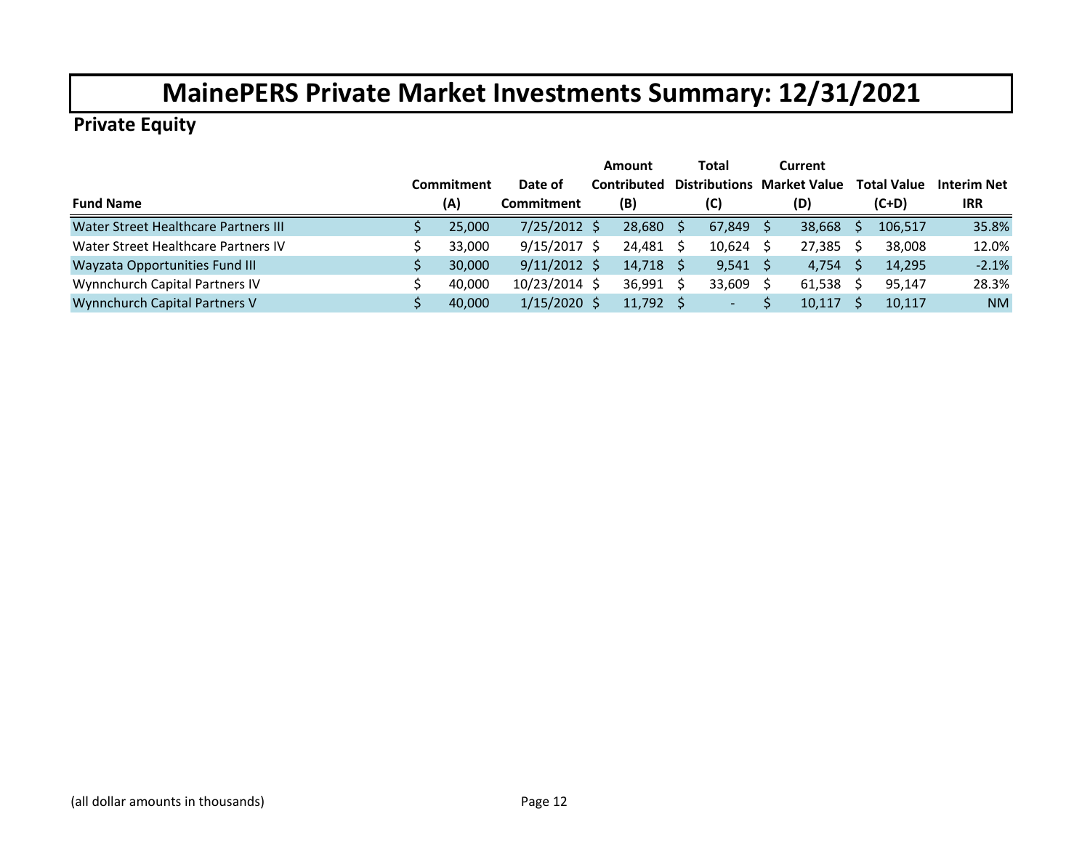|                                       |            |                      | Amount      | Total                | Current             |   |                    |             |
|---------------------------------------|------------|----------------------|-------------|----------------------|---------------------|---|--------------------|-------------|
|                                       | Commitment | Date of              | Contributed | <b>Distributions</b> | <b>Market Value</b> |   | <b>Total Value</b> | Interim Net |
| <b>Fund Name</b>                      | (A)        | Commitment           | (B)         | (C)                  | (D)                 |   | $(C+D)$            | <b>IRR</b>  |
| Water Street Healthcare Partners III  | 25,000     | $7/25/2012$ \$       | 28,680      | 67,849               | 38,668              |   | 106,517            | 35.8%       |
| Water Street Healthcare Partners IV   | 33.000     | $9/15/2017$ \$       | 24,481      | 10,624               | 27,385              | S | 38,008             | 12.0%       |
| <b>Wayzata Opportunities Fund III</b> | 30,000     | $9/11/2012 \text{ }$ | 14,718      | 9,541                | 4,754               |   | 14,295             | $-2.1%$     |
| Wynnchurch Capital Partners IV        | 40,000     | 10/23/2014 \$        | 36,991      | 33,609               | 61,538              |   | 95,147             | 28.3%       |
| <b>Wynnchurch Capital Partners V</b>  | 40,000     | $1/15/2020$ \$       | 11,792      | ۰.                   | 10,117              |   | 10,117             | <b>NM</b>   |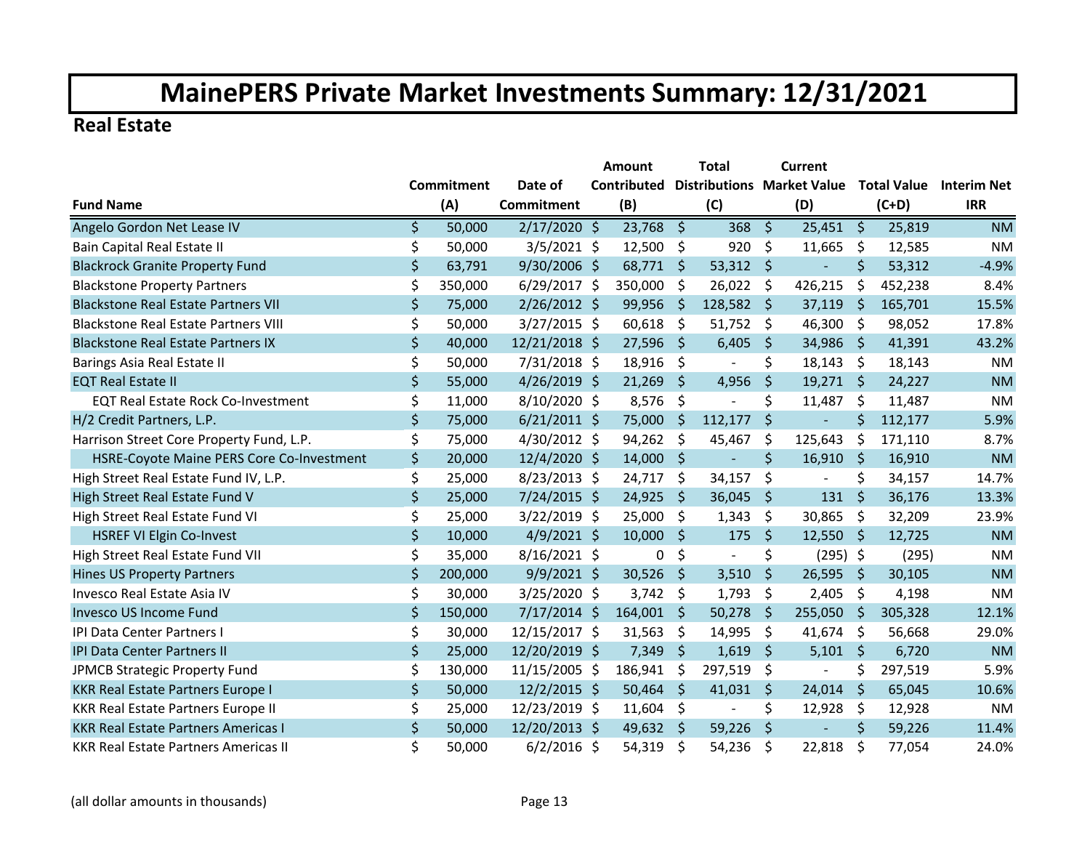#### **Real Estate**

|                                             |                   |         |                | <b>Amount</b> |             |         | Total                    |                                                    | Current                  |                     |         |            |
|---------------------------------------------|-------------------|---------|----------------|---------------|-------------|---------|--------------------------|----------------------------------------------------|--------------------------|---------------------|---------|------------|
|                                             | <b>Commitment</b> |         | Date of        | Contributed   |             |         |                          | Distributions Market Value Total Value Interim Net |                          |                     |         |            |
| <b>Fund Name</b>                            |                   | (A)     | Commitment     |               | (B)         |         | (C)                      |                                                    | (D)                      |                     | $(C+D)$ | <b>IRR</b> |
| Angelo Gordon Net Lease IV                  | \$                | 50,000  | $2/17/2020$ \$ |               | 23,768      | \$      | 368                      | $\zeta$                                            | $25,451$ \$              |                     | 25,819  | <b>NM</b>  |
| Bain Capital Real Estate II                 | \$                | 50,000  | $3/5/2021$ \$  |               | 12,500      | \$      | 920                      | \$                                                 | 11,665                   | \$                  | 12,585  | <b>NM</b>  |
| <b>Blackrock Granite Property Fund</b>      | \$                | 63,791  | 9/30/2006 \$   |               | 68,771      | Ŝ.      | 53,312                   | $\zeta$                                            |                          | \$                  | 53,312  | $-4.9%$    |
| <b>Blackstone Property Partners</b>         | \$                | 350,000 | $6/29/2017$ \$ |               | 350,000     | \$      | 26,022                   | \$                                                 | 426,215                  | \$                  | 452,238 | 8.4%       |
| <b>Blackstone Real Estate Partners VII</b>  | \$                | 75,000  | $2/26/2012$ \$ |               | 99,956      | $\zeta$ | 128,582                  | \$                                                 | 37,119                   | $\zeta$             | 165,701 | 15.5%      |
| <b>Blackstone Real Estate Partners VIII</b> | \$                | 50,000  | $3/27/2015$ \$ |               | 60,618      | \$      | 51,752                   | \$                                                 | 46,300                   | -\$                 | 98,052  | 17.8%      |
| <b>Blackstone Real Estate Partners IX</b>   | \$                | 40,000  | 12/21/2018 \$  |               | $27,596$ \$ |         | 6,405                    | $\zeta$                                            | $34,986$ \$              |                     | 41,391  | 43.2%      |
| Barings Asia Real Estate II                 | \$                | 50,000  | 7/31/2018 \$   |               | 18,916      | \$      |                          | \$                                                 | $18,143$ \$              |                     | 18,143  | <b>NM</b>  |
| <b>EQT Real Estate II</b>                   | \$                | 55,000  | $4/26/2019$ \$ |               | 21,269      | Ŝ.      | 4,956                    | \$                                                 | 19,271                   | $\blacklozenge$     | 24,227  | <b>NM</b>  |
| <b>EQT Real Estate Rock Co-Investment</b>   | \$                | 11,000  | 8/10/2020 \$   |               | 8,576       | \$      |                          | \$                                                 | 11,487                   | -\$                 | 11,487  | <b>NM</b>  |
| H/2 Credit Partners, L.P.                   | \$                | 75,000  | $6/21/2011$ \$ |               | 75,000      | $\zeta$ | 112,177                  | $\zeta$                                            | $\blacksquare$           | \$                  | 112,177 | 5.9%       |
| Harrison Street Core Property Fund, L.P.    | \$                | 75,000  | 4/30/2012 \$   |               | 94,262      | \$      | 45,467                   | \$                                                 | 125,643                  | \$                  | 171,110 | 8.7%       |
| HSRE-Coyote Maine PERS Core Co-Investment   | \$                | 20,000  | 12/4/2020 \$   |               | 14,000      | $\zeta$ | $\blacksquare$           | \$                                                 | 16,910                   | $\ddot{\mathsf{S}}$ | 16,910  | <b>NM</b>  |
| High Street Real Estate Fund IV, L.P.       | \$                | 25,000  | $8/23/2013$ \$ |               | 24,717      | \$.     | 34,157                   | \$                                                 | $\overline{\phantom{a}}$ | \$                  | 34,157  | 14.7%      |
| High Street Real Estate Fund V              | \$                | 25,000  | $7/24/2015$ \$ |               | 24,925      | \$      | 36,045                   | \$                                                 | 131                      | $\zeta$             | 36,176  | 13.3%      |
| High Street Real Estate Fund VI             | \$                | 25,000  | $3/22/2019$ \$ |               | 25,000      | \$      | 1,343                    | \$                                                 | 30,865                   | \$                  | 32,209  | 23.9%      |
| <b>HSREF VI Elgin Co-Invest</b>             | \$                | 10,000  | $4/9/2021$ \$  |               | 10,000      | Ŝ.      | 175                      | \$                                                 | 12,550                   | -\$                 | 12,725  | <b>NM</b>  |
| High Street Real Estate Fund VII            | \$                | 35,000  | 8/16/2021 \$   |               | 0           | \$      | $\overline{\phantom{a}}$ | \$                                                 | $(295)$ \$               |                     | (295)   | <b>NM</b>  |
| <b>Hines US Property Partners</b>           | \$                | 200,000 | $9/9/2021$ \$  |               | 30,526      | \$      | 3,510                    | $\zeta$                                            | 26,595                   | -\$                 | 30,105  | <b>NM</b>  |
| <b>Invesco Real Estate Asia IV</b>          | \$                | 30,000  | 3/25/2020 \$   |               | 3,742       | \$      | 1,793                    | \$                                                 | 2,405                    | -\$                 | 4,198   | <b>NM</b>  |
| <b>Invesco US Income Fund</b>               | \$                | 150,000 | $7/17/2014$ \$ |               | 164,001     | \$      | 50,278                   | \$                                                 | 255,050                  | \$                  | 305,328 | 12.1%      |
| IPI Data Center Partners I                  | \$                | 30,000  | 12/15/2017 \$  |               | 31,563      | \$      | 14,995                   | \$                                                 | 41,674                   | \$                  | 56,668  | 29.0%      |
| <b>IPI Data Center Partners II</b>          | \$                | 25,000  | 12/20/2019 \$  |               | 7,349       | \$      | 1,619                    | \$                                                 | 5,101                    | $\zeta$             | 6,720   | <b>NM</b>  |
| JPMCB Strategic Property Fund               | \$                | 130,000 | 11/15/2005 \$  |               | 186,941     | \$      | 297,519                  | \$                                                 |                          | \$                  | 297,519 | 5.9%       |
| KKR Real Estate Partners Europe I           | \$                | 50,000  | $12/2/2015$ \$ |               | 50,464      | \$      | 41,031                   | $\zeta$                                            | 24,014                   | $\zeta$             | 65,045  | 10.6%      |
| <b>KKR Real Estate Partners Europe II</b>   | \$                | 25,000  | 12/23/2019 \$  |               | 11,604      | \$      | $\overline{\phantom{a}}$ | \$                                                 | 12,928                   | $\zeta$             | 12,928  | <b>NM</b>  |
| <b>KKR Real Estate Partners Americas I</b>  | \$                | 50,000  | 12/20/2013 \$  |               | 49,632      | - \$    | 59,226                   | $\zeta$                                            |                          | $\zeta$             | 59,226  | 11.4%      |
| <b>KKR Real Estate Partners Americas II</b> | \$                | 50,000  | $6/2/2016$ \$  |               | 54,319      | \$.     | 54,236                   | \$                                                 | 22,818                   | \$                  | 77,054  | 24.0%      |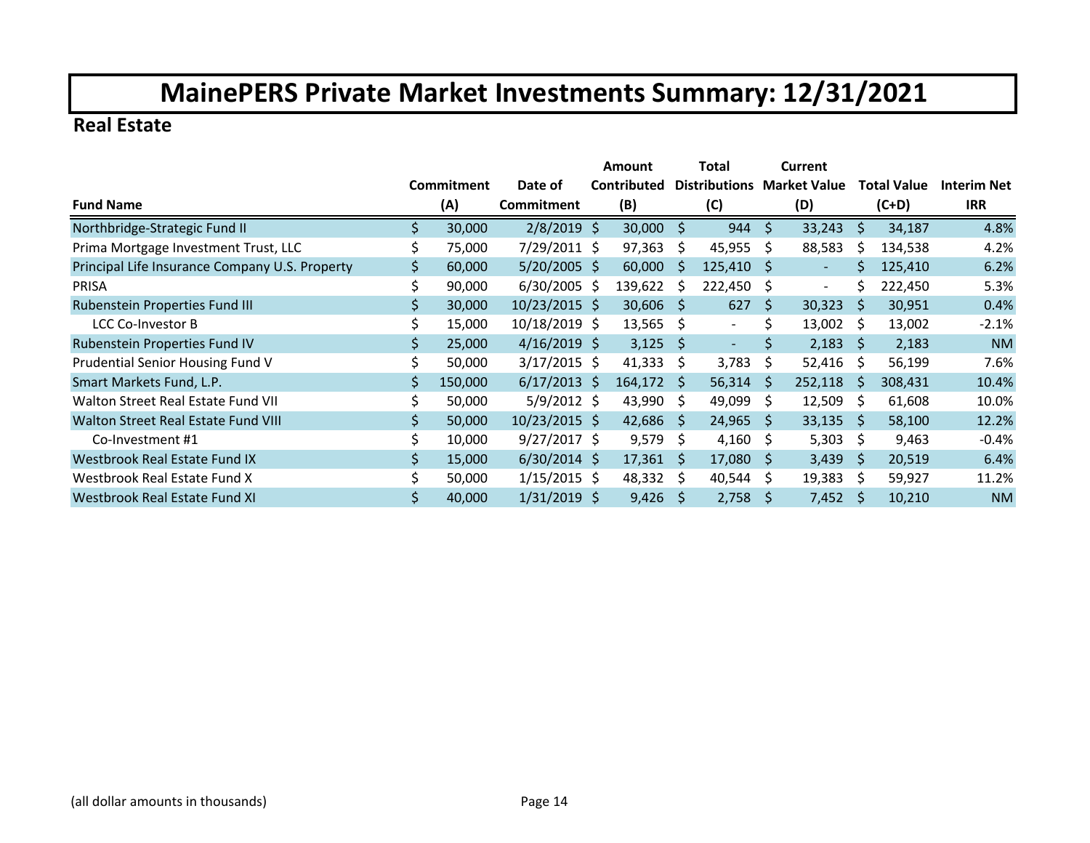### **Real Estate**

|                                                |    |            |                | Amount      |              | Total                |              | Current                  |              |                    |                    |
|------------------------------------------------|----|------------|----------------|-------------|--------------|----------------------|--------------|--------------------------|--------------|--------------------|--------------------|
|                                                |    | Commitment | Date of        | Contributed |              | <b>Distributions</b> |              | Market Value             |              | <b>Total Value</b> | <b>Interim Net</b> |
| <b>Fund Name</b>                               |    | (A)        | Commitment     | (B)         |              | (C)                  |              | (D)                      |              | $(C+D)$            | <b>IRR</b>         |
| Northbridge-Strategic Fund II                  | Ś. | 30,000     | $2/8/2019$ \$  | 30,000      | \$           | 944                  | \$           | 33,243                   | \$           | 34,187             | 4.8%               |
| Prima Mortgage Investment Trust, LLC           |    | 75,000     | 7/29/2011 \$   | 97,363      | Ŝ.           | 45,955               | Ŝ.           | 88,583                   | Ś            | 134,538            | 4.2%               |
| Principal Life Insurance Company U.S. Property | \$ | 60,000     | $5/20/2005$ \$ | 60,000      | <sub>S</sub> | 125,410              | S            | $\overline{\phantom{a}}$ | Ś.           | 125,410            | 6.2%               |
| <b>PRISA</b>                                   |    | 90,000     | $6/30/2005$ \$ | 139,622     | S            | 222,450              | S            | $\blacksquare$           | Ś            | 222,450            | 5.3%               |
| Rubenstein Properties Fund III                 | \$ | 30,000     | 10/23/2015 \$  | 30,606      | <sub>S</sub> | 627                  | \$           | 30,323                   | S            | 30,951             | 0.4%               |
| LCC Co-Investor B                              |    | 15,000     | 10/18/2019 \$  | 13,565      | Ŝ.           | $\sim$               | \$           | 13,002                   | Ŝ.           | 13,002             | $-2.1%$            |
| Rubenstein Properties Fund IV                  | \$ | 25,000     | $4/16/2019$ \$ | 3,125       | <sub>S</sub> | $\sim$               | \$           | 2,183                    | <sub>S</sub> | 2,183              | <b>NM</b>          |
| Prudential Senior Housing Fund V               |    | 50,000     | $3/17/2015$ \$ | 41,333      | S.           | 3,783                | \$           | 52,416                   | S            | 56,199             | 7.6%               |
| Smart Markets Fund, L.P.                       | \$ | 150,000    | $6/17/2013$ \$ | 164,172     | -S           | 56,314               | <sub>S</sub> | 252,118                  | <sub>S</sub> | 308,431            | 10.4%              |
| Walton Street Real Estate Fund VII             | \$ | 50,000     | $5/9/2012$ \$  | 43,990      | S.           | 49,099               | S            | 12,509                   | S            | 61,608             | 10.0%              |
| Walton Street Real Estate Fund VIII            | \$ | 50,000     | 10/23/2015 \$  | 42,686      | S.           | 24,965               | -S           | 33,135                   | <sub>S</sub> | 58,100             | 12.2%              |
| Co-Investment #1                               | \$ | 10,000     | $9/27/2017$ \$ | 9,579       | Ŝ.           | 4,160                | \$           | 5,303                    | Ŝ.           | 9,463              | $-0.4%$            |
| Westbrook Real Estate Fund IX                  | \$ | 15,000     | $6/30/2014$ \$ | 17,361      | <sub>S</sub> | 17,080               | -S           | 3,439                    | <sub>S</sub> | 20,519             | 6.4%               |
| Westbrook Real Estate Fund X                   | Ś. | 50,000     | $1/15/2015$ \$ | 48,332      | -S           | 40,544               | \$           | 19,383                   | S            | 59,927             | 11.2%              |
| Westbrook Real Estate Fund XI                  | Ś. | 40,000     | $1/31/2019$ \$ | 9,426       | <sub>S</sub> | 2,758                | S            | 7,452                    | S            | 10,210             | <b>NM</b>          |